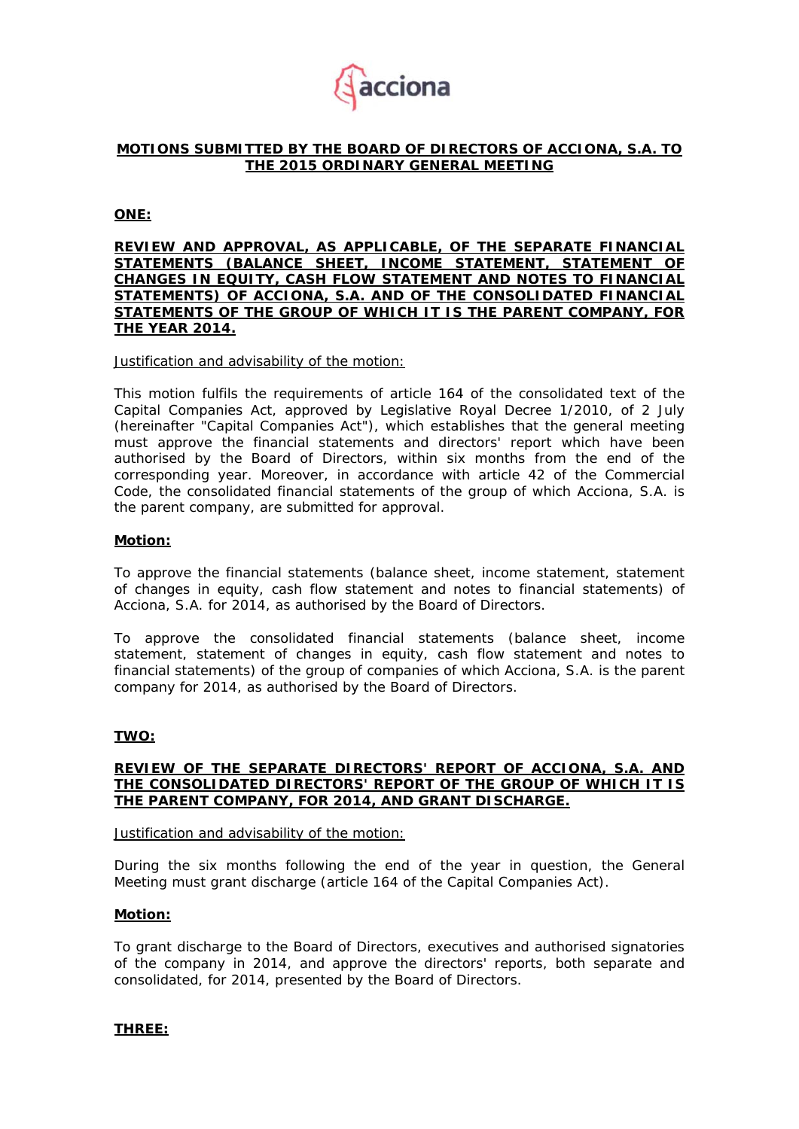

## **MOTIONS SUBMITTED BY THE BOARD OF DIRECTORS OF ACCIONA, S.A. TO THE 2015 ORDINARY GENERAL MEETING**

**ONE:** 

**REVIEW AND APPROVAL, AS APPLICABLE, OF THE SEPARATE FINANCIAL STATEMENTS (BALANCE SHEET, INCOME STATEMENT, STATEMENT OF CHANGES IN EQUITY, CASH FLOW STATEMENT AND NOTES TO FINANCIAL STATEMENTS) OF ACCIONA, S.A. AND OF THE CONSOLIDATED FINANCIAL STATEMENTS OF THE GROUP OF WHICH IT IS THE PARENT COMPANY, FOR THE YEAR 2014.** 

Justification and advisability of the motion:

This motion fulfils the requirements of article 164 of the consolidated text of the Capital Companies Act, approved by Legislative Royal Decree 1/2010, of 2 July (hereinafter "Capital Companies Act"), which establishes that the general meeting must approve the financial statements and directors' report which have been authorised by the Board of Directors, within six months from the end of the corresponding year. Moreover, in accordance with article 42 of the Commercial Code, the consolidated financial statements of the group of which Acciona, S.A. is the parent company, are submitted for approval.

### **Motion:**

To approve the financial statements (balance sheet, income statement, statement of changes in equity, cash flow statement and notes to financial statements) of Acciona, S.A. for 2014, as authorised by the Board of Directors.

To approve the consolidated financial statements (balance sheet, income statement, statement of changes in equity, cash flow statement and notes to financial statements) of the group of companies of which Acciona, S.A. is the parent company for 2014, as authorised by the Board of Directors.

#### **TWO:**

### **REVIEW OF THE SEPARATE DIRECTORS' REPORT OF ACCIONA, S.A. AND THE CONSOLIDATED DIRECTORS' REPORT OF THE GROUP OF WHICH IT IS THE PARENT COMPANY, FOR 2014, AND GRANT DISCHARGE.**

#### Justification and advisability of the motion:

During the six months following the end of the year in question, the General Meeting must grant discharge (article 164 of the Capital Companies Act).

#### **Motion:**

To grant discharge to the Board of Directors, executives and authorised signatories of the company in 2014, and approve the directors' reports, both separate and consolidated, for 2014, presented by the Board of Directors.

**THREE:**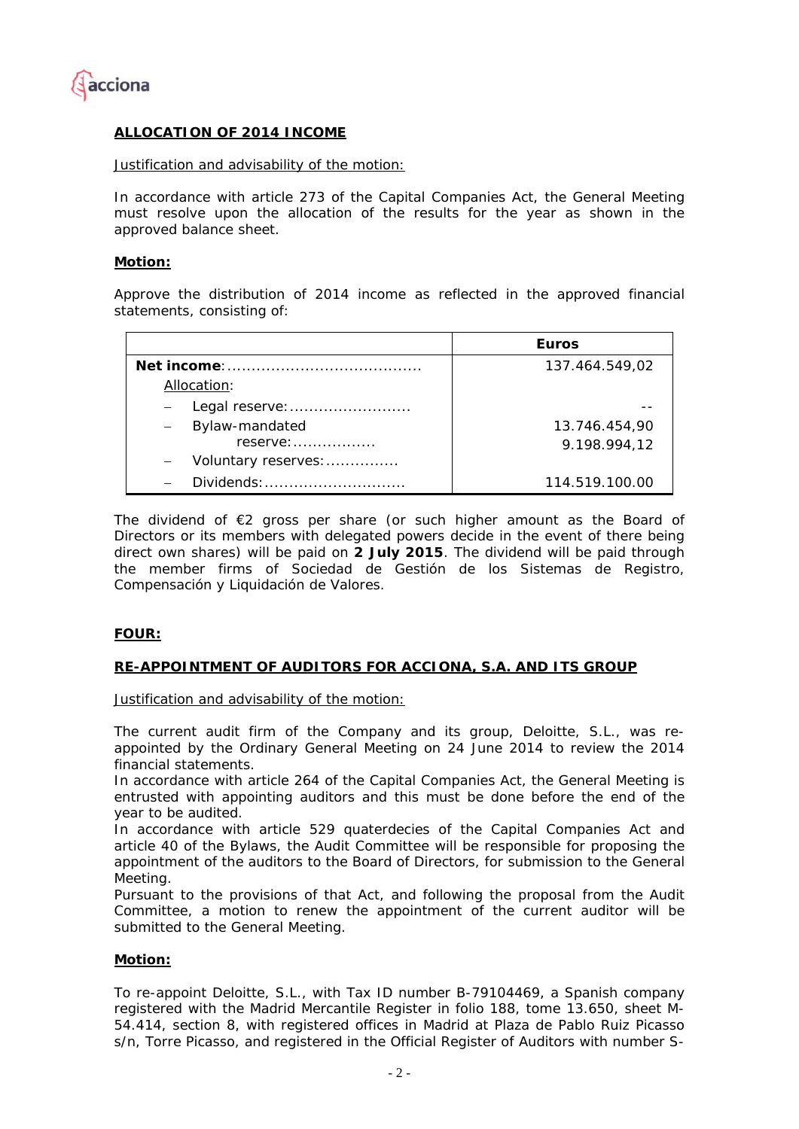

## **ALLOCATION OF 2014 INCOME**

### Justification and advisability of the motion:

In accordance with article 273 of the Capital Companies Act, the General Meeting must resolve upon the allocation of the results for the year as shown in the approved balance sheet.

### **Motion:**

Approve the distribution of 2014 income as reflected in the approved financial statements, consisting of:

|                                        | <b>Euros</b>   |
|----------------------------------------|----------------|
|                                        | 137.464.549,02 |
| Allocation:                            |                |
| Legal reserve:                         |                |
| - Bylaw-mandated                       | 13.746.454,90  |
| $reserve: \ldots \ldots \ldots \ldots$ | 9.198.994,12   |
| Voluntary reserves:                    |                |
| Dividends:                             | 114.519.100.00 |

The dividend of €2 gross per share (or such higher amount as the Board of Directors or its members with delegated powers decide in the event of there being direct own shares) will be paid on **2 July 2015**. The dividend will be paid through the member firms of Sociedad de Gestión de los Sistemas de Registro, Compensación y Liquidación de Valores.

## **FOUR:**

## **RE-APPOINTMENT OF AUDITORS FOR ACCIONA, S.A. AND ITS GROUP**

Justification and advisability of the motion:

The current audit firm of the Company and its group, Deloitte, S.L., was reappointed by the Ordinary General Meeting on 24 June 2014 to review the 2014 financial statements.

In accordance with article 264 of the Capital Companies Act, the General Meeting is entrusted with appointing auditors and this must be done before the end of the year to be audited.

In accordance with article 529 *quaterdecies* of the Capital Companies Act and article 40 of the Bylaws, the Audit Committee will be responsible for proposing the appointment of the auditors to the Board of Directors, for submission to the General Meeting.

Pursuant to the provisions of that Act, and following the proposal from the Audit Committee, a motion to renew the appointment of the current auditor will be submitted to the General Meeting.

## **Motion:**

To re-appoint Deloitte, S.L., with Tax ID number B-79104469, a Spanish company registered with the Madrid Mercantile Register in folio 188, tome 13.650, sheet M-54.414, section 8, with registered offices in Madrid at Plaza de Pablo Ruiz Picasso s/n, Torre Picasso, and registered in the Official Register of Auditors with number S-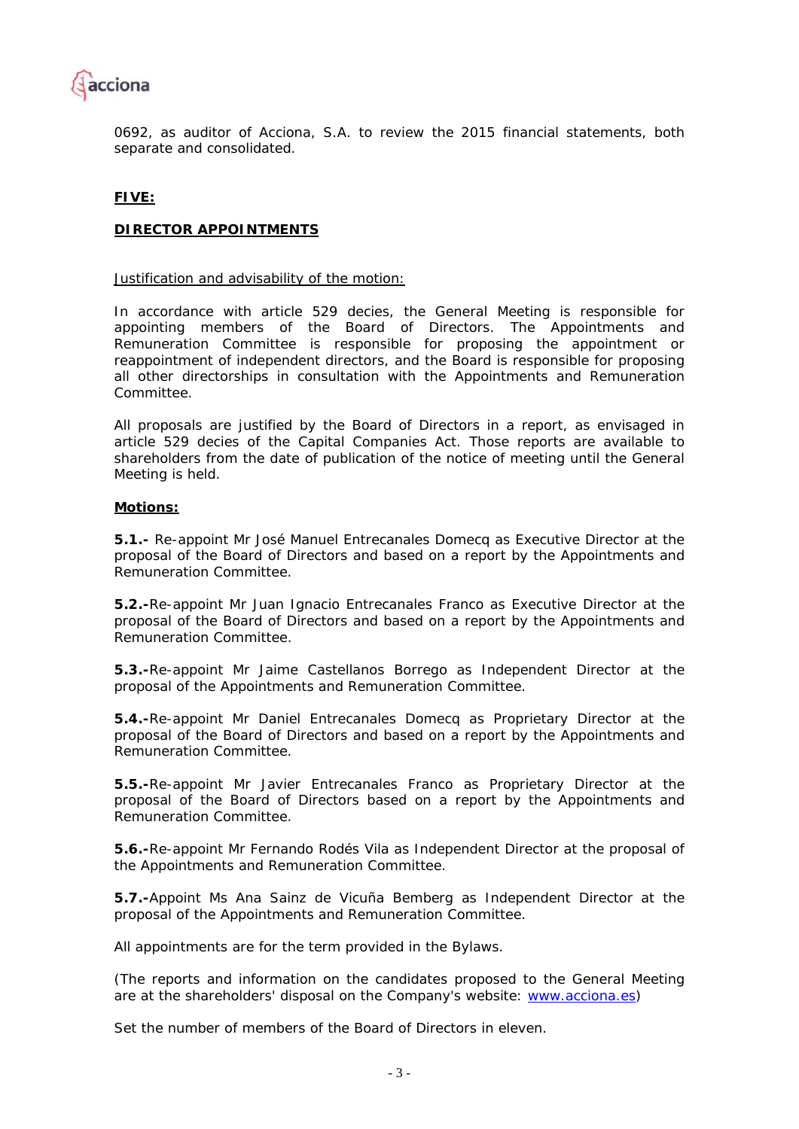

0692, as auditor of Acciona, S.A. to review the 2015 financial statements, both separate and consolidated.

## **FIVE:**

## **DIRECTOR APPOINTMENTS**

### Justification and advisability of the motion:

In accordance with article 529 *decies*, the General Meeting is responsible for appointing members of the Board of Directors. The Appointments and Remuneration Committee is responsible for proposing the appointment or reappointment of independent directors, and the Board is responsible for proposing all other directorships in consultation with the Appointments and Remuneration Committee.

All proposals are justified by the Board of Directors in a report, as envisaged in article 529 *decies* of the Capital Companies Act. Those reports are available to shareholders from the date of publication of the notice of meeting until the General Meeting is held.

### **Motions:**

**5.1.-** Re-appoint Mr José Manuel Entrecanales Domecq as Executive Director at the proposal of the Board of Directors and based on a report by the Appointments and Remuneration Committee.

**5.2.-**Re-appoint Mr Juan Ignacio Entrecanales Franco as Executive Director at the proposal of the Board of Directors and based on a report by the Appointments and Remuneration Committee.

**5.3.-**Re-appoint Mr Jaime Castellanos Borrego as Independent Director at the proposal of the Appointments and Remuneration Committee.

**5.4.-**Re-appoint Mr Daniel Entrecanales Domecq as Proprietary Director at the proposal of the Board of Directors and based on a report by the Appointments and Remuneration Committee.

**5.5.-**Re-appoint Mr Javier Entrecanales Franco as Proprietary Director at the proposal of the Board of Directors based on a report by the Appointments and Remuneration Committee.

**5.6.-**Re-appoint Mr Fernando Rodés Vila as Independent Director at the proposal of the Appointments and Remuneration Committee.

**5.7.-**Appoint Ms Ana Sainz de Vicuña Bemberg as Independent Director at the proposal of the Appointments and Remuneration Committee.

All appointments are for the term provided in the Bylaws.

(The reports and information on the candidates proposed to the General Meeting are at the shareholders' disposal on the Company's website: www.acciona.es)

Set the number of members of the Board of Directors in eleven.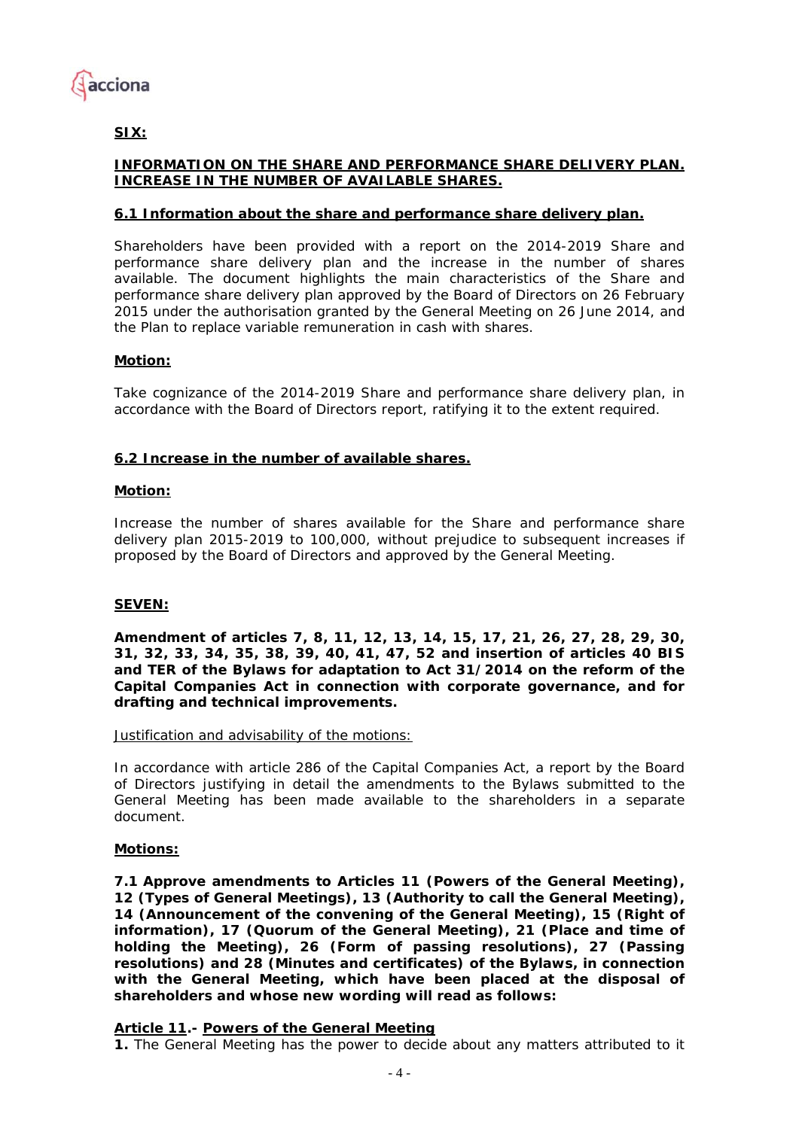

# **SIX:**

# **INFORMATION ON THE SHARE AND PERFORMANCE SHARE DELIVERY PLAN. INCREASE IN THE NUMBER OF AVAILABLE SHARES.**

## **6.1 Information about the share and performance share delivery plan.**

Shareholders have been provided with a report on the 2014-2019 Share and performance share delivery plan and the increase in the number of shares available. The document highlights the main characteristics of the Share and performance share delivery plan approved by the Board of Directors on 26 February 2015 under the authorisation granted by the General Meeting on 26 June 2014, and the Plan to replace variable remuneration in cash with shares.

## **Motion:**

Take cognizance of the 2014-2019 Share and performance share delivery plan, in accordance with the Board of Directors report, ratifying it to the extent required.

## **6.2 Increase in the number of available shares.**

## **Motion:**

Increase the number of shares available for the Share and performance share delivery plan 2015-2019 to 100,000, without prejudice to subsequent increases if proposed by the Board of Directors and approved by the General Meeting.

# **SEVEN:**

**Amendment of articles 7, 8, 11, 12, 13, 14, 15, 17, 21, 26, 27, 28, 29, 30, 31, 32, 33, 34, 35, 38, 39, 40, 41, 47, 52 and insertion of articles 40 BIS and TER of the Bylaws for adaptation to Act 31/2014 on the reform of the Capital Companies Act in connection with corporate governance, and for drafting and technical improvements.** 

Justification and advisability of the motions:

In accordance with article 286 of the Capital Companies Act, a report by the Board of Directors justifying in detail the amendments to the Bylaws submitted to the General Meeting has been made available to the shareholders in a separate document.

## **Motions:**

**7.1 Approve amendments to Articles 11 (Powers of the General Meeting), 12 (Types of General Meetings), 13 (Authority to call the General Meeting), 14 (Announcement of the convening of the General Meeting), 15 (Right of information), 17 (Quorum of the General Meeting), 21 (Place and time of holding the Meeting), 26 (Form of passing resolutions), 27 (Passing resolutions) and 28 (Minutes and certificates) of the Bylaws, in connection with the General Meeting, which have been placed at the disposal of shareholders and whose new wording will read as follows:** 

## *Article 11.- Powers of the General Meeting*

**1.** The General Meeting has the power to decide about any matters attributed to it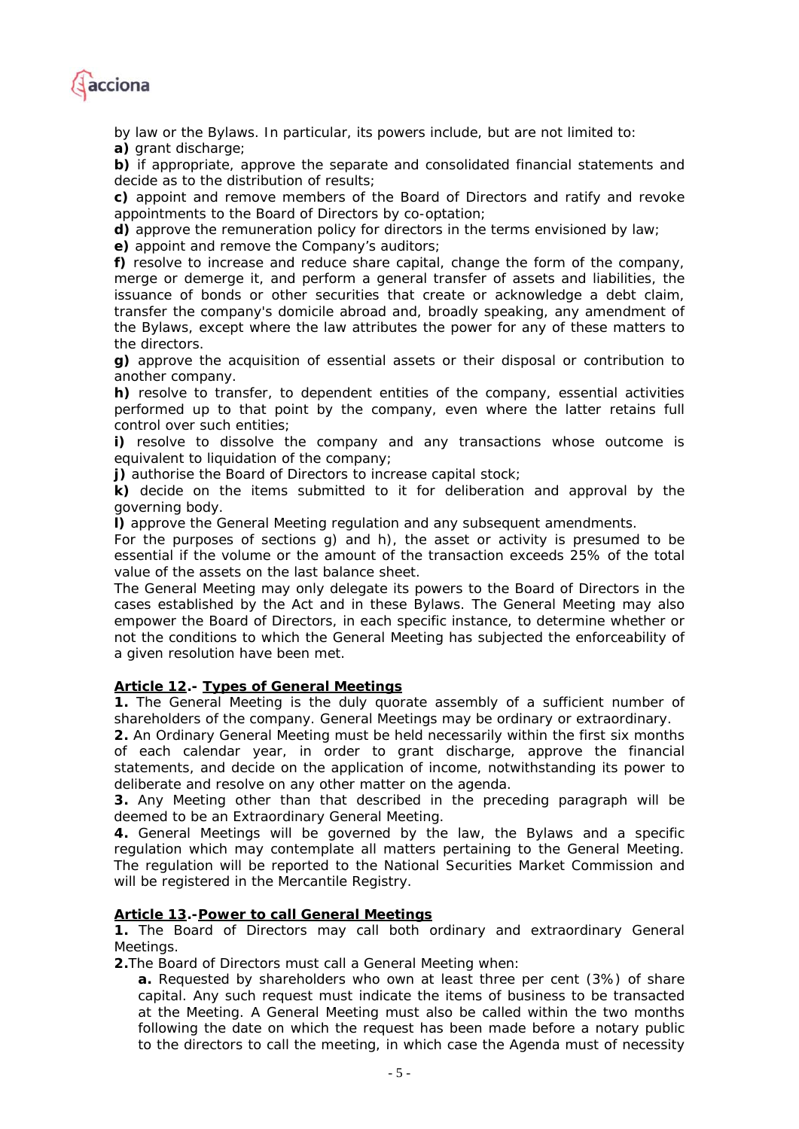

*by law or the Bylaws. In particular, its powers include, but are not limited to: a) grant discharge;* 

*b) if appropriate, approve the separate and consolidated financial statements and decide as to the distribution of results;* 

*c) appoint and remove members of the Board of Directors and ratify and revoke appointments to the Board of Directors by co-optation;* 

*d) approve the remuneration policy for directors in the terms envisioned by law;* 

*e) appoint and remove the Company's auditors;* 

*f) resolve to increase and reduce share capital, change the form of the company, merge or demerge it, and perform a general transfer of assets and liabilities, the issuance of bonds or other securities that create or acknowledge a debt claim, transfer the company's domicile abroad and, broadly speaking, any amendment of the Bylaws, except where the law attributes the power for any of these matters to the directors.* 

*g) approve the acquisition of essential assets or their disposal or contribution to another company.* 

*h) resolve to transfer, to dependent entities of the company, essential activities performed up to that point by the company, even where the latter retains full control over such entities;* 

*i) resolve to dissolve the company and any transactions whose outcome is equivalent to liquidation of the company;* 

*j) authorise the Board of Directors to increase capital stock;* 

*k) decide on the items submitted to it for deliberation and approval by the governing body.* 

*l) approve the General Meeting regulation and any subsequent amendments.* 

*For the purposes of sections g) and h), the asset or activity is presumed to be essential if the volume or the amount of the transaction exceeds 25% of the total value of the assets on the last balance sheet.* 

*The General Meeting may only delegate its powers to the Board of Directors in the cases established by the Act and in these Bylaws. The General Meeting may also empower the Board of Directors, in each specific instance, to determine whether or not the conditions to which the General Meeting has subjected the enforceability of a given resolution have been met.* 

## *Article 12.- Types of General Meetings*

*1. The General Meeting is the duly quorate assembly of a sufficient number of shareholders of the company. General Meetings may be ordinary or extraordinary.* 

*2. An Ordinary General Meeting must be held necessarily within the first six months of each calendar year, in order to grant discharge, approve the financial statements, and decide on the application of income, notwithstanding its power to deliberate and resolve on any other matter on the agenda.* 

*3. Any Meeting other than that described in the preceding paragraph will be deemed to be an Extraordinary General Meeting.* 

*4. General Meetings will be governed by the law, the Bylaws and a specific*  regulation which may contemplate all matters pertaining to the General Meeting. *The regulation will be reported to the National Securities Market Commission and will be registered in the Mercantile Registry.* 

# *Article 13.-Power to call General Meetings*

*1. The Board of Directors may call both ordinary and extraordinary General Meetings.* 

*2.The Board of Directors must call a General Meeting when:* 

*a. Requested by shareholders who own at least three per cent (3%) of share capital. Any such request must indicate the items of business to be transacted at the Meeting. A General Meeting must also be called within the two months following the date on which the request has been made before a notary public to the directors to call the meeting, in which case the Agenda must of necessity*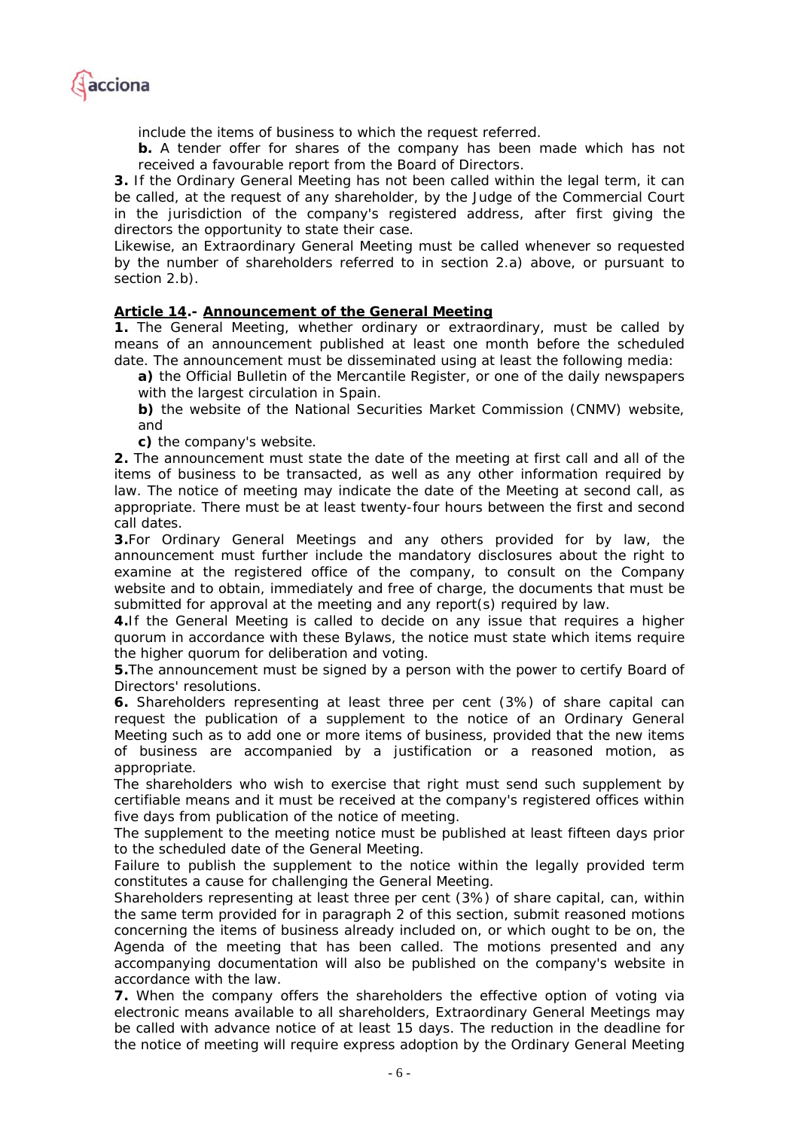

*include the items of business to which the request referred.* 

*b.* A tender offer for shares of the company has been made which has not *received a favourable report from the Board of Directors.* 

*3. If the Ordinary General Meeting has not been called within the legal term, it can be called, at the request of any shareholder, by the Judge of the Commercial Court in the jurisdiction of the company's registered address, after first giving the directors the opportunity to state their case.* 

*Likewise, an Extraordinary General Meeting must be called whenever so requested by the number of shareholders referred to in section 2.a) above, or pursuant to section 2.b).* 

## *Article 14.- Announcement of the General Meeting*

*1. The General Meeting, whether ordinary or extraordinary, must be called by means of an announcement published at least one month before the scheduled date. The announcement must be disseminated using at least the following media:* 

*a) the Official Bulletin of the Mercantile Register, or one of the daily newspapers with the largest circulation in Spain.* 

*b) the website of the National Securities Market Commission (CNMV) website, and* 

*c) the company's website.* 

*2. The announcement must state the date of the meeting at first call and all of the items of business to be transacted, as well as any other information required by law. The notice of meeting may indicate the date of the Meeting at second call, as appropriate. There must be at least twenty-four hours between the first and second call dates.* 

*3.For Ordinary General Meetings and any others provided for by law, the announcement must further include the mandatory disclosures about the right to examine at the registered office of the company, to consult on the Company website and to obtain, immediately and free of charge, the documents that must be submitted for approval at the meeting and any report(s) required by law.* 

*4.If the General Meeting is called to decide on any issue that requires a higher quorum in accordance with these Bylaws, the notice must state which items require the higher quorum for deliberation and voting.* 

*5.The announcement must be signed by a person with the power to certify Board of Directors' resolutions.* 

*6. Shareholders representing at least three per cent (3%) of share capital can*  request the publication of a supplement to the notice of an Ordinary General *Meeting such as to add one or more items of business, provided that the new items of business are accompanied by a justification or a reasoned motion, as appropriate.* 

*The shareholders who wish to exercise that right must send such supplement by certifiable means and it must be received at the company's registered offices within five days from publication of the notice of meeting.* 

*The supplement to the meeting notice must be published at least fifteen days prior to the scheduled date of the General Meeting.* 

Failure to publish the supplement to the notice within the legally provided term *constitutes a cause for challenging the General Meeting.* 

*Shareholders representing at least three per cent (3%) of share capital, can, within the same term provided for in paragraph 2 of this section, submit reasoned motions concerning the items of business already included on, or which ought to be on, the Agenda of the meeting that has been called. The motions presented and any accompanying documentation will also be published on the company's website in accordance with the law.* 

*7. When the company offers the shareholders the effective option of voting via electronic means available to all shareholders, Extraordinary General Meetings may be called with advance notice of at least 15 days. The reduction in the deadline for the notice of meeting will require express adoption by the Ordinary General Meeting*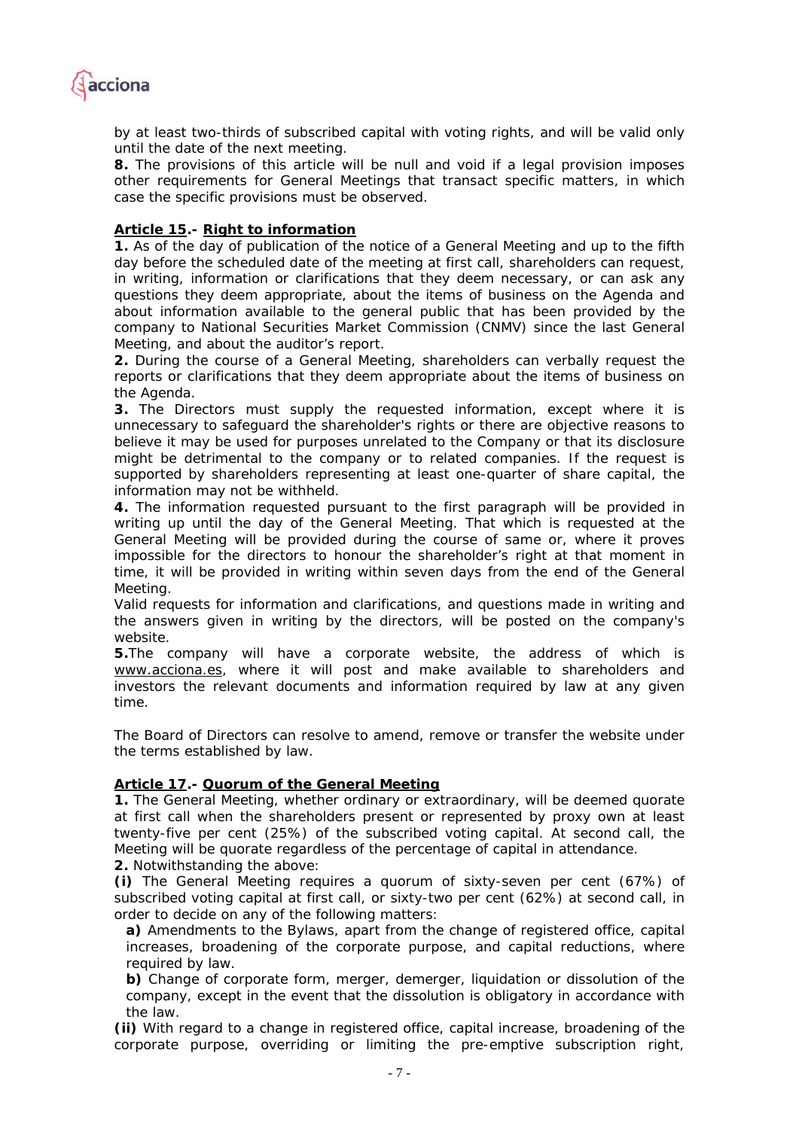

*by at least two-thirds of subscribed capital with voting rights, and will be valid only until the date of the next meeting.* 

*8. The provisions of this article will be null and void if a legal provision imposes other requirements for General Meetings that transact specific matters, in which case the specific provisions must be observed.* 

## *Article 15.- Right to information*

*1. As of the day of publication of the notice of a General Meeting and up to the fifth day before the scheduled date of the meeting at first call, shareholders can request, in writing, information or clarifications that they deem necessary, or can ask any questions they deem appropriate, about the items of business on the Agenda and about information available to the general public that has been provided by the company to National Securities Market Commission (CNMV) since the last General Meeting, and about the auditor's report.* 

*2. During the course of a General Meeting, shareholders can verbally request the reports or clarifications that they deem appropriate about the items of business on the Agenda.* 

*3. The Directors must supply the requested information, except where it is unnecessary to safeguard the shareholder's rights or there are objective reasons to believe it may be used for purposes unrelated to the Company or that its disclosure might be detrimental to the company or to related companies. If the request is supported by shareholders representing at least one-quarter of share capital, the information may not be withheld.* 

*4. The information requested pursuant to the first paragraph will be provided in writing up until the day of the General Meeting. That which is requested at the General Meeting will be provided during the course of same or, where it proves impossible for the directors to honour the shareholder's right at that moment in time, it will be provided in writing within seven days from the end of the General Meeting.* 

*Valid requests for information and clarifications, and questions made in writing and the answers given in writing by the directors, will be posted on the company's website.* 

*5.The company will have a corporate website, the address of which is www.acciona.es, where it will post and make available to shareholders and investors the relevant documents and information required by law at any given time.* 

*The Board of Directors can resolve to amend, remove or transfer the website under the terms established by law.* 

## *Article 17.- Quorum of the General Meeting*

*1. The General Meeting, whether ordinary or extraordinary, will be deemed quorate at first call when the shareholders present or represented by proxy own at least twenty-five per cent (25%) of the subscribed voting capital. At second call, the Meeting will be quorate regardless of the percentage of capital in attendance.* 

*2. Notwithstanding the above:* 

*(i) The General Meeting requires a quorum of sixty-seven per cent (67%) of subscribed voting capital at first call, or sixty-two per cent (62%) at second call, in order to decide on any of the following matters:* 

*a) Amendments to the Bylaws, apart from the change of registered office, capital increases, broadening of the corporate purpose, and capital reductions, where required by law.* 

*b) Change of corporate form, merger, demerger, liquidation or dissolution of the company, except in the event that the dissolution is obligatory in accordance with the law.* 

*(ii) With regard to a change in registered office, capital increase, broadening of the corporate purpose, overriding or limiting the pre-emptive subscription right,*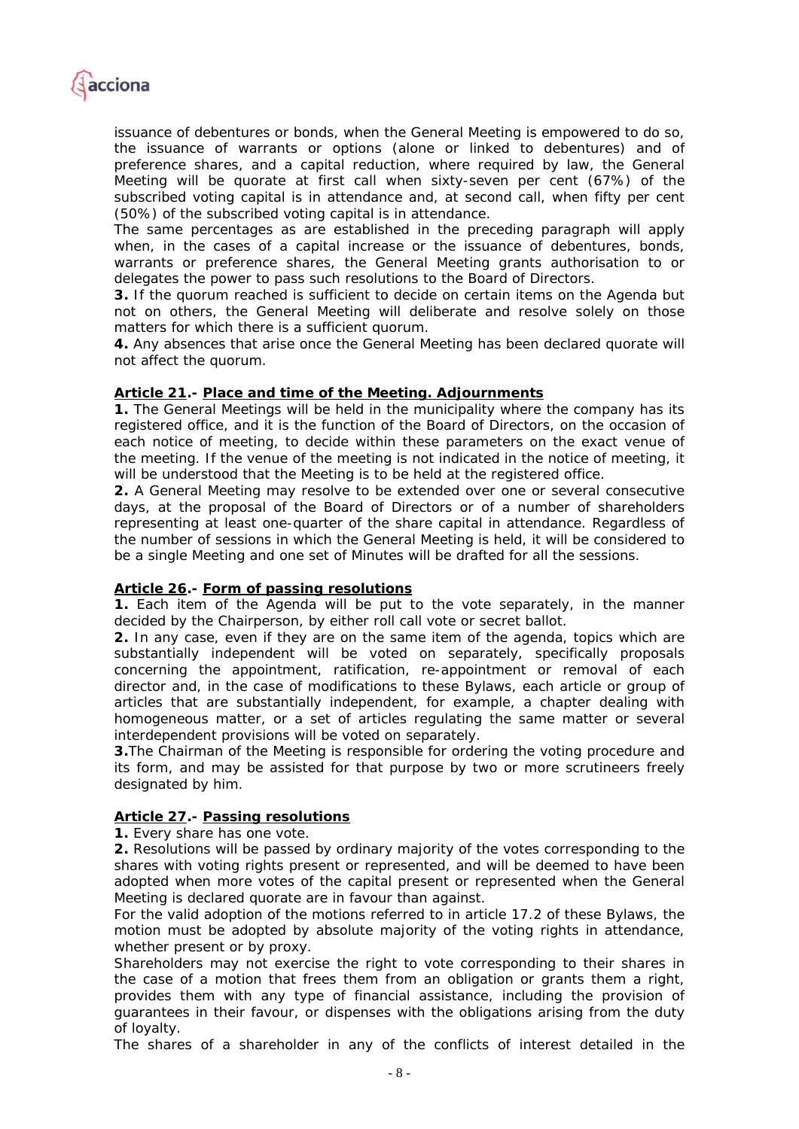

*issuance of debentures or bonds, when the General Meeting is empowered to do so, the issuance of warrants or options (alone or linked to debentures) and of preference shares, and a capital reduction, where required by law, the General Meeting will be quorate at first call when sixty-seven per cent (67%) of the subscribed voting capital is in attendance and, at second call, when fifty per cent (50%) of the subscribed voting capital is in attendance.* 

*The same percentages as are established in the preceding paragraph will apply when, in the cases of a capital increase or the issuance of debentures, bonds, warrants or preference shares, the General Meeting grants authorisation to or delegates the power to pass such resolutions to the Board of Directors.* 

*3. If the quorum reached is sufficient to decide on certain items on the Agenda but not on others, the General Meeting will deliberate and resolve solely on those matters for which there is a sufficient quorum.* 

*4. Any absences that arise once the General Meeting has been declared quorate will not affect the quorum.* 

## *Article 21.- Place and time of the Meeting. Adjournments*

*1. The General Meetings will be held in the municipality where the company has its*  registered office, and it is the function of the Board of Directors, on the occasion of each notice of meeting, to decide within these parameters on the exact venue of *the meeting. If the venue of the meeting is not indicated in the notice of meeting, it will be understood that the Meeting is to be held at the registered office.* 

*2. A General Meeting may resolve to be extended over one or several consecutive days, at the proposal of the Board of Directors or of a number of shareholders representing at least one-quarter of the share capital in attendance. Regardless of the number of sessions in which the General Meeting is held, it will be considered to be a single Meeting and one set of Minutes will be drafted for all the sessions.* 

## *Article 26.- Form of passing resolutions*

*1. Each item of the Agenda will be put to the vote separately, in the manner decided by the Chairperson, by either roll call vote or secret ballot.* 

*2. In any case, even if they are on the same item of the agenda, topics which are substantially independent will be voted on separately, specifically proposals concerning the appointment, ratification, re-appointment or removal of each director and, in the case of modifications to these Bylaws, each article or group of articles that are substantially independent, for example, a chapter dealing with homogeneous matter, or a set of articles regulating the same matter or several interdependent provisions will be voted on separately.* 

*3.The Chairman of the Meeting is responsible for ordering the voting procedure and its form, and may be assisted for that purpose by two or more scrutineers freely designated by him.* 

## *Article 27.- Passing resolutions*

*1. Every share has one vote.* 

*2. Resolutions will be passed by ordinary majority of the votes corresponding to the shares with voting rights present or represented, and will be deemed to have been*  adopted when more votes of the capital present or represented when the General *Meeting is declared quorate are in favour than against.* 

For the valid adoption of the motions referred to in article 17.2 of these Bylaws, the *motion must be adopted by absolute majority of the voting rights in attendance, whether present or by proxy.* 

*Shareholders may not exercise the right to vote corresponding to their shares in the case of a motion that frees them from an obligation or grants them a right, provides them with any type of financial assistance, including the provision of guarantees in their favour, or dispenses with the obligations arising from the duty of loyalty.* 

*The shares of a shareholder in any of the conflicts of interest detailed in the*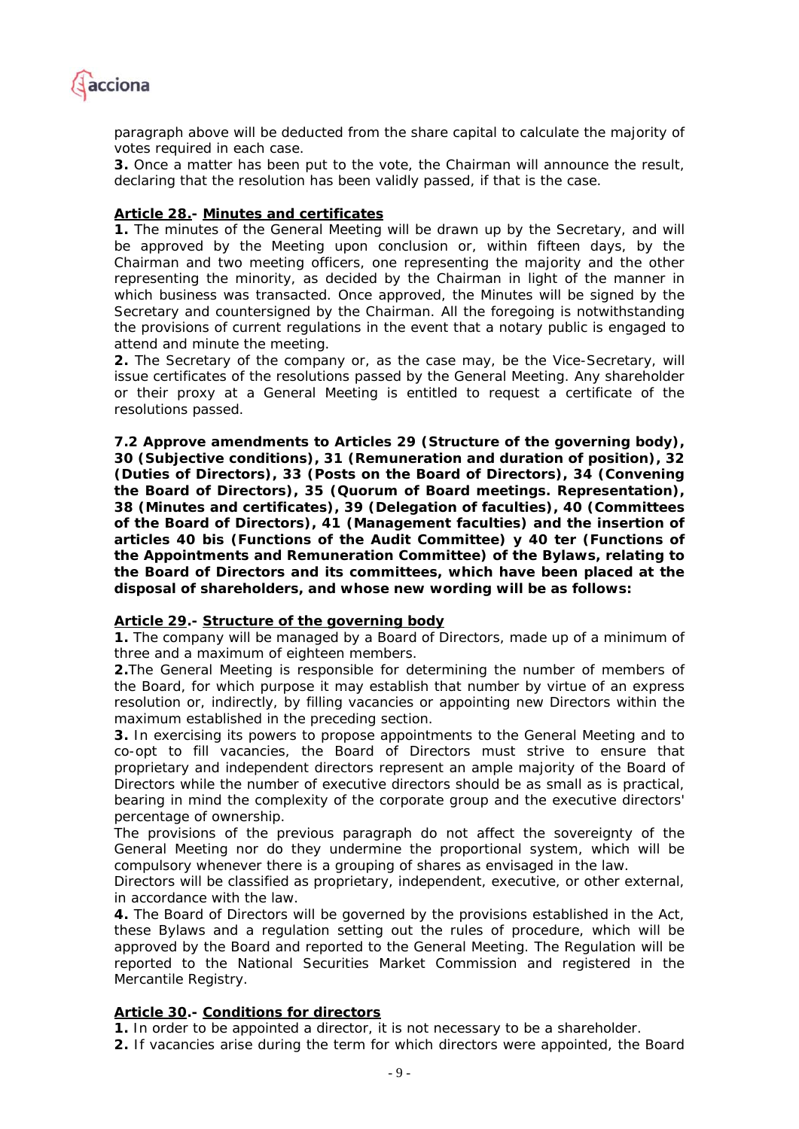

paragraph above will be deducted from the share capital to calculate the majority of *votes required in each case.* 

*3. Once a matter has been put to the vote, the Chairman will announce the result, declaring that the resolution has been validly passed, if that is the case.* 

## *Article 28.- Minutes and certificates*

**1.** The minutes of the General Meeting will be drawn up by the Secretary, and will *be approved by the Meeting upon conclusion or, within fifteen days, by the Chairman and two meeting officers, one representing the majority and the other representing the minority, as decided by the Chairman in light of the manner in which business was transacted. Once approved, the Minutes will be signed by the Secretary and countersigned by the Chairman. All the foregoing is notwithstanding the provisions of current regulations in the event that a notary public is engaged to attend and minute the meeting.* 

*2. The Secretary of the company or, as the case may, be the Vice-Secretary, will issue certificates of the resolutions passed by the General Meeting. Any shareholder or their proxy at a General Meeting is entitled to request a certificate of the resolutions passed.* 

**7.2 Approve amendments to Articles 29 (Structure of the governing body), 30 (Subjective conditions), 31 (Remuneration and duration of position), 32 (Duties of Directors), 33 (Posts on the Board of Directors), 34 (Convening the Board of Directors), 35 (Quorum of Board meetings. Representation), 38 (Minutes and certificates), 39 (Delegation of faculties), 40 (Committees of the Board of Directors), 41 (Management faculties) and the insertion of articles 40 bis (Functions of the Audit Committee) y 40 ter (Functions of the Appointments and Remuneration Committee) of the Bylaws, relating to the Board of Directors and its committees, which have been placed at the disposal of shareholders, and whose new wording will be as follows:** 

## *Article 29.- Structure of the governing body*

*1. The company will be managed by a Board of Directors, made up of a minimum of three and a maximum of eighteen members.* 

*2.The General Meeting is responsible for determining the number of members of the Board, for which purpose it may establish that number by virtue of an express resolution or, indirectly, by filling vacancies or appointing new Directors within the maximum established in the preceding section.* 

*3. In exercising its powers to propose appointments to the General Meeting and to co-opt to fill vacancies, the Board of Directors must strive to ensure that proprietary and independent directors represent an ample majority of the Board of Directors while the number of executive directors should be as small as is practical, bearing in mind the complexity of the corporate group and the executive directors' percentage of ownership.* 

*The provisions of the previous paragraph do not affect the sovereignty of the General Meeting nor do they undermine the proportional system, which will be compulsory whenever there is a grouping of shares as envisaged in the law.* 

*Directors will be classified as proprietary, independent, executive, or other external, in accordance with the law.* 

*4. The Board of Directors will be governed by the provisions established in the Act, these Bylaws and a regulation setting out the rules of procedure, which will be approved by the Board and reported to the General Meeting. The Regulation will be*  reported to the National Securities Market Commission and registered in the *Mercantile Registry.* 

## *Article 30.- Conditions for directors*

*1. In order to be appointed a director, it is not necessary to be a shareholder.* 

*2. If vacancies arise during the term for which directors were appointed, the Board*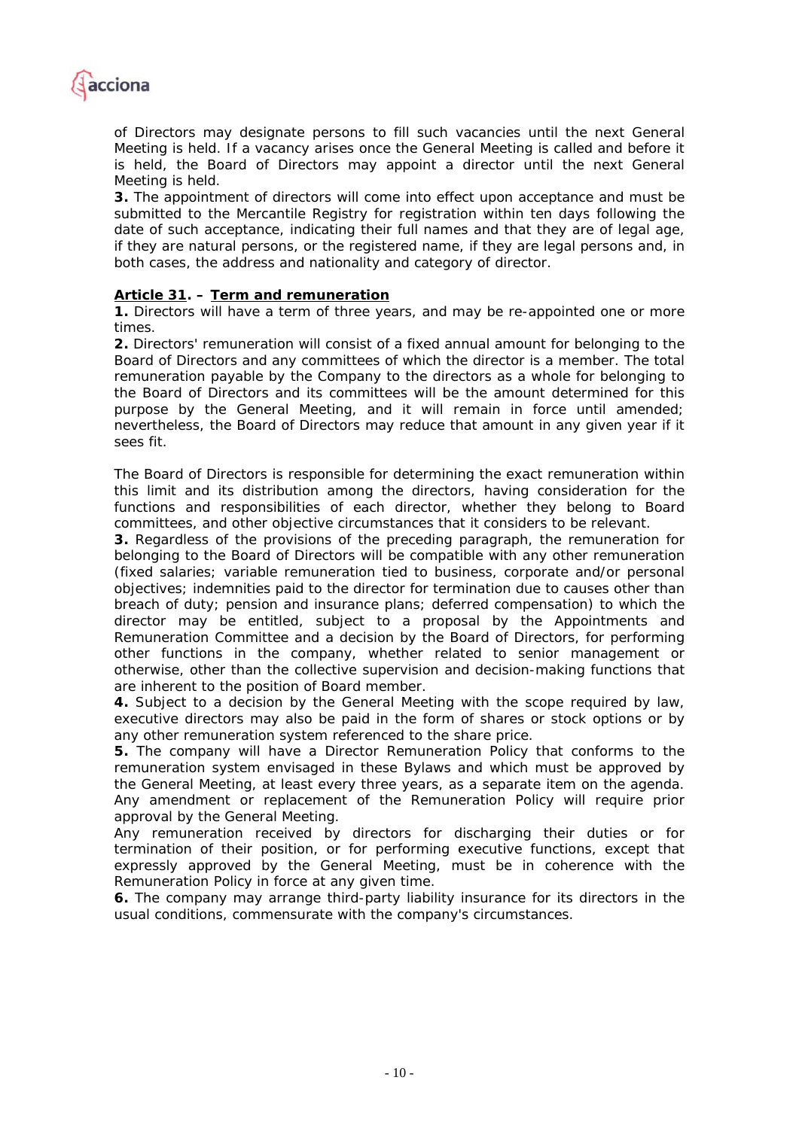

*of Directors may designate persons to fill such vacancies until the next General Meeting is held. If a vacancy arises once the General Meeting is called and before it is held, the Board of Directors may appoint a director until the next General Meeting is held.* 

*3. The appointment of directors will come into effect upon acceptance and must be submitted to the Mercantile Registry for registration within ten days following the date of such acceptance, indicating their full names and that they are of legal age, if they are natural persons, or the registered name, if they are legal persons and, in both cases, the address and nationality and category of director.* 

## *Article 31. – Term and remuneration*

*1. Directors will have a term of three years, and may be re-appointed one or more times.* 

*2. Directors' remuneration will consist of a fixed annual amount for belonging to the Board of Directors and any committees of which the director is a member. The total remuneration payable by the Company to the directors as a whole for belonging to the Board of Directors and its committees will be the amount determined for this purpose by the General Meeting, and it will remain in force until amended; nevertheless, the Board of Directors may reduce that amount in any given year if it sees fit.* 

*The Board of Directors is responsible for determining the exact remuneration within this limit and its distribution among the directors, having consideration for the functions and responsibilities of each director, whether they belong to Board committees, and other objective circumstances that it considers to be relevant.* 

*3. Regardless of the provisions of the preceding paragraph, the remuneration for belonging to the Board of Directors will be compatible with any other remuneration (fixed salaries; variable remuneration tied to business, corporate and/or personal objectives; indemnities paid to the director for termination due to causes other than breach of duty; pension and insurance plans; deferred compensation) to which the director may be entitled, subject to a proposal by the Appointments and Remuneration Committee and a decision by the Board of Directors, for performing other functions in the company, whether related to senior management or otherwise, other than the collective supervision and decision-making functions that are inherent to the position of Board member.* 

*4. Subject to a decision by the General Meeting with the scope required by law, executive directors may also be paid in the form of shares or stock options or by any other remuneration system referenced to the share price.* 

*5. The company will have a Director Remuneration Policy that conforms to the remuneration system envisaged in these Bylaws and which must be approved by the General Meeting, at least every three years, as a separate item on the agenda. Any amendment or replacement of the Remuneration Policy will require prior approval by the General Meeting.* 

*Any remuneration received by directors for discharging their duties or for termination of their position, or for performing executive functions, except that expressly approved by the General Meeting, must be in coherence with the Remuneration Policy in force at any given time.* 

*6. The company may arrange third-party liability insurance for its directors in the usual conditions, commensurate with the company's circumstances.*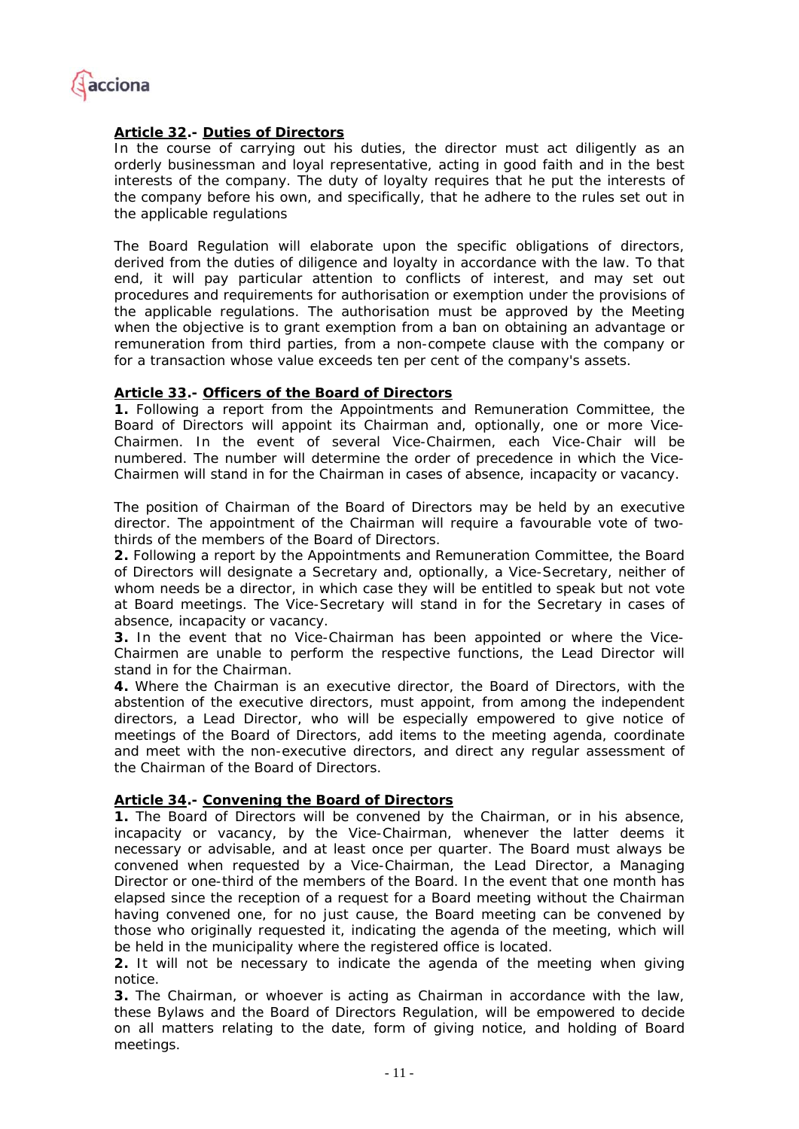

# *Article 32.- Duties of Directors*

In the course of carrying out his duties, the director must act diligently as an *orderly businessman and loyal representative, acting in good faith and in the best interests of the company. The duty of loyalty requires that he put the interests of the company before his own, and specifically, that he adhere to the rules set out in the applicable regulations* 

*The Board Regulation will elaborate upon the specific obligations of directors,*  derived from the duties of diligence and loyalty in accordance with the law. To that end, it will pay particular attention to conflicts of interest, and may set out *procedures and requirements for authorisation or exemption under the provisions of the applicable regulations. The authorisation must be approved by the Meeting when the objective is to grant exemption from a ban on obtaining an advantage or remuneration from third parties, from a non-compete clause with the company or for a transaction whose value exceeds ten per cent of the company's assets.* 

## *Article 33.- Officers of the Board of Directors*

*1. Following a report from the Appointments and Remuneration Committee, the Board of Directors will appoint its Chairman and, optionally, one or more Vice-Chairmen. In the event of several Vice-Chairmen, each Vice-Chair will be numbered. The number will determine the order of precedence in which the Vice-Chairmen will stand in for the Chairman in cases of absence, incapacity or vacancy.* 

*The position of Chairman of the Board of Directors may be held by an executive director. The appointment of the Chairman will require a favourable vote of twothirds of the members of the Board of Directors.* 

*2. Following a report by the Appointments and Remuneration Committee, the Board of Directors will designate a Secretary and, optionally, a Vice-Secretary, neither of whom needs be a director, in which case they will be entitled to speak but not vote at Board meetings. The Vice-Secretary will stand in for the Secretary in cases of absence, incapacity or vacancy.* 

*3. In the event that no Vice-Chairman has been appointed or where the Vice-Chairmen are unable to perform the respective functions, the Lead Director will stand in for the Chairman.* 

*4. Where the Chairman is an executive director, the Board of Directors, with the abstention of the executive directors, must appoint, from among the independent directors, a Lead Director, who will be especially empowered to give notice of meetings of the Board of Directors, add items to the meeting agenda, coordinate and meet with the non-executive directors, and direct any regular assessment of the Chairman of the Board of Directors.* 

## *Article 34.- Convening the Board of Directors*

*1. The Board of Directors will be convened by the Chairman, or in his absence, incapacity or vacancy, by the Vice-Chairman, whenever the latter deems it necessary or advisable, and at least once per quarter. The Board must always be convened when requested by a Vice-Chairman, the Lead Director, a Managing Director or one-third of the members of the Board. In the event that one month has elapsed since the reception of a request for a Board meeting without the Chairman having convened one, for no just cause, the Board meeting can be convened by those who originally requested it, indicating the agenda of the meeting, which will be held in the municipality where the registered office is located.* 

**2.** It will not be necessary to indicate the agenda of the meeting when giving *notice.* 

*3. The Chairman, or whoever is acting as Chairman in accordance with the law, these Bylaws and the Board of Directors Regulation, will be empowered to decide on all matters relating to the date, form of giving notice, and holding of Board meetings.*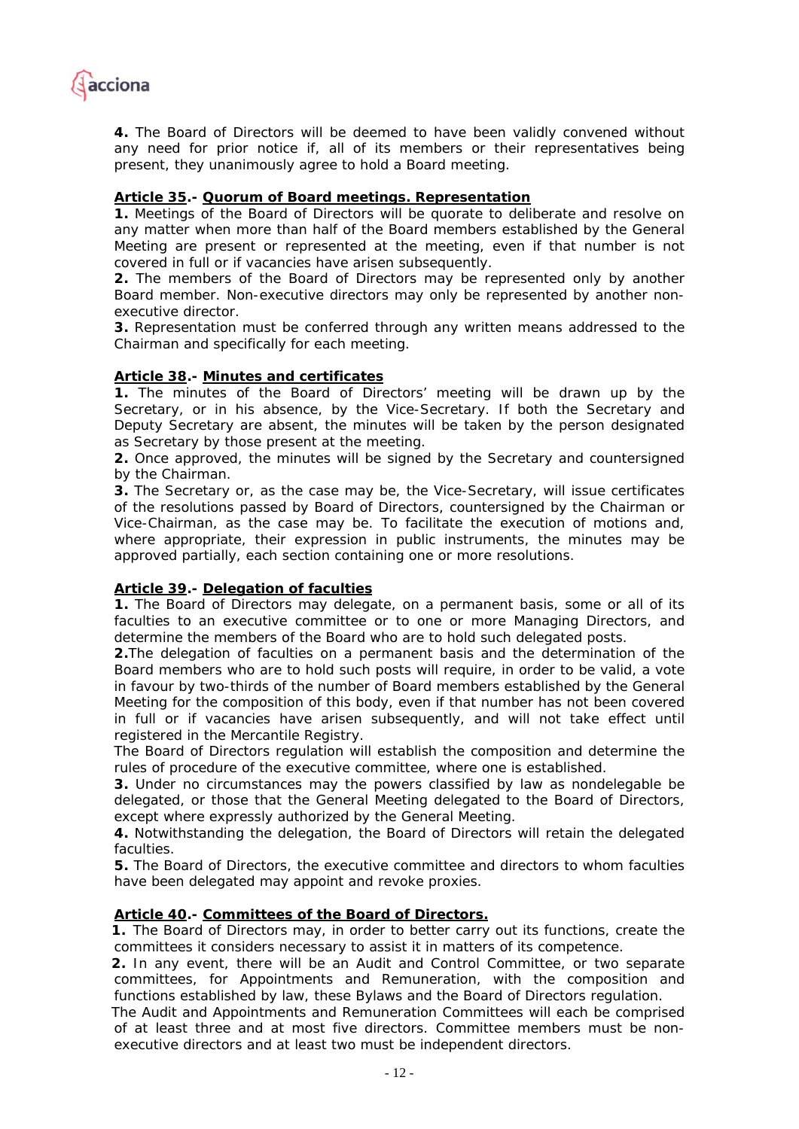

*4. The Board of Directors will be deemed to have been validly convened without*  any need for prior notice if, all of its members or their representatives being *present, they unanimously agree to hold a Board meeting.* 

# *Article 35.- Quorum of Board meetings. Representation*

*1. Meetings of the Board of Directors will be quorate to deliberate and resolve on*  any matter when more than half of the Board members established by the General *Meeting are present or represented at the meeting, even if that number is not covered in full or if vacancies have arisen subsequently.* 

*2. The members of the Board of Directors may be represented only by another Board member. Non-executive directors may only be represented by another nonexecutive director.* 

*3. Representation must be conferred through any written means addressed to the Chairman and specifically for each meeting.* 

## *Article 38.- Minutes and certificates*

*1. The minutes of the Board of Directors' meeting will be drawn up by the Secretary, or in his absence, by the Vice-Secretary. If both the Secretary and Deputy Secretary are absent, the minutes will be taken by the person designated as Secretary by those present at the meeting.* 

*2. Once approved, the minutes will be signed by the Secretary and countersigned by the Chairman.* 

*3. The Secretary or, as the case may be, the Vice-Secretary, will issue certificates of the resolutions passed by Board of Directors, countersigned by the Chairman or Vice-Chairman, as the case may be. To facilitate the execution of motions and, where appropriate, their expression in public instruments, the minutes may be approved partially, each section containing one or more resolutions.* 

## *Article 39.- Delegation of faculties*

*1. The Board of Directors may delegate, on a permanent basis, some or all of its*  faculties to an executive committee or to one or more Managing Directors, and *determine the members of the Board who are to hold such delegated posts.* 

*2.The delegation of faculties on a permanent basis and the determination of the Board members who are to hold such posts will require, in order to be valid, a vote in favour by two-thirds of the number of Board members established by the General Meeting for the composition of this body, even if that number has not been covered*  in full or if vacancies have arisen subsequently, and will not take effect until *registered in the Mercantile Registry.* 

*The Board of Directors regulation will establish the composition and determine the rules of procedure of the executive committee, where one is established.* 

*3. Under no circumstances may the powers classified by law as nondelegable be delegated, or those that the General Meeting delegated to the Board of Directors, except where expressly authorized by the General Meeting.* 

*4. Notwithstanding the delegation, the Board of Directors will retain the delegated faculties.* 

*5. The Board of Directors, the executive committee and directors to whom faculties have been delegated may appoint and revoke proxies.* 

## *Article 40.- Committees of the Board of Directors.*

*1. The Board of Directors may, in order to better carry out its functions, create the committees it considers necessary to assist it in matters of its competence.* 

*2. In any event, there will be an Audit and Control Committee, or two separate committees, for Appointments and Remuneration, with the composition and functions established by law, these Bylaws and the Board of Directors regulation.* 

*The Audit and Appointments and Remuneration Committees will each be comprised of at least three and at most five directors. Committee members must be nonexecutive directors and at least two must be independent directors.*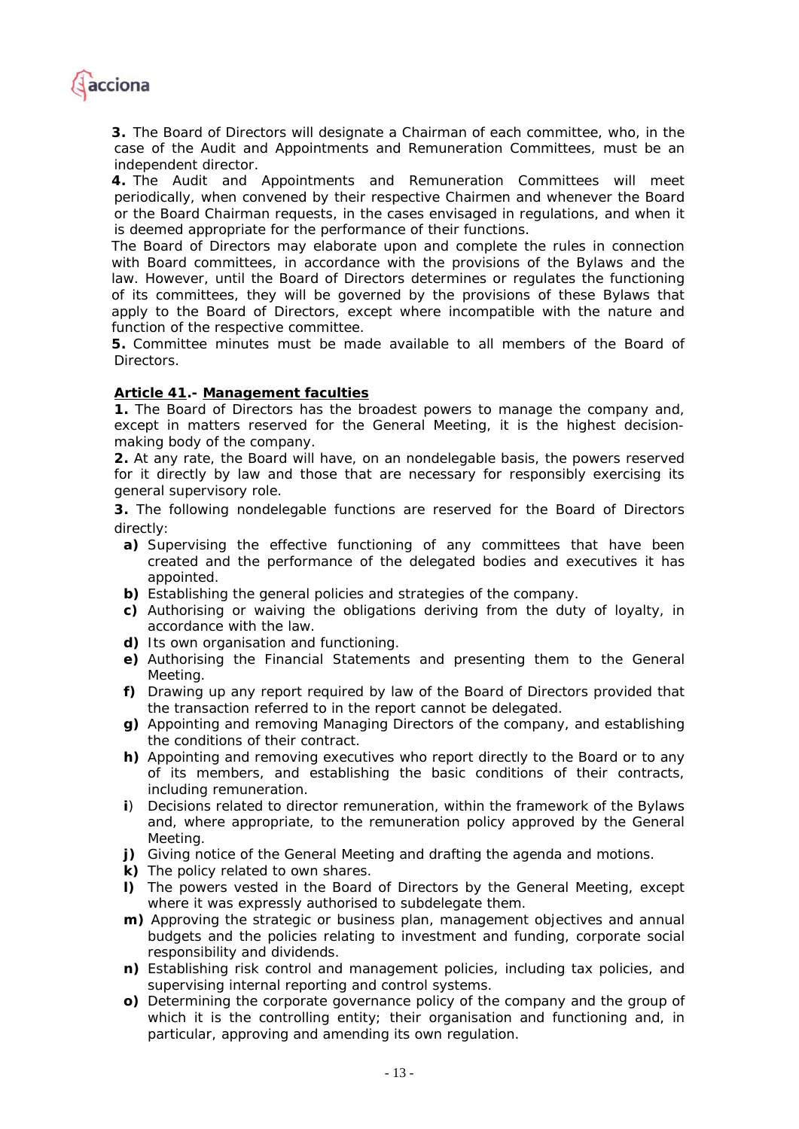

*3. The Board of Directors will designate a Chairman of each committee, who, in the case of the Audit and Appointments and Remuneration Committees, must be an independent director.* 

*4. The Audit and Appointments and Remuneration Committees will meet periodically, when convened by their respective Chairmen and whenever the Board or the Board Chairman requests, in the cases envisaged in regulations, and when it is deemed appropriate for the performance of their functions.* 

*The Board of Directors may elaborate upon and complete the rules in connection with Board committees, in accordance with the provisions of the Bylaws and the*  law. However, until the Board of Directors determines or regulates the functioning *of its committees, they will be governed by the provisions of these Bylaws that*  apply to the Board of Directors, except where incompatible with the nature and *function of the respective committee.* 

*5. Committee minutes must be made available to all members of the Board of Directors.* 

## *Article 41.- Management faculties*

*1. The Board of Directors has the broadest powers to manage the company and, except in matters reserved for the General Meeting, it is the highest decisionmaking body of the company.* 

*2. At any rate, the Board will have, on an nondelegable basis, the powers reserved for it directly by law and those that are necessary for responsibly exercising its general supervisory role.* 

*3. The following nondelegable functions are reserved for the Board of Directors directly:* 

- *a) Supervising the effective functioning of any committees that have been created and the performance of the delegated bodies and executives it has appointed.*
- *b) Establishing the general policies and strategies of the company.*
- *c) Authorising or waiving the obligations deriving from the duty of loyalty, in accordance with the law.*
- *d) Its own organisation and functioning.*
- *e) Authorising the Financial Statements and presenting them to the General Meeting.*
- *f) Drawing up any report required by law of the Board of Directors provided that the transaction referred to in the report cannot be delegated.*
- *g) Appointing and removing Managing Directors of the company, and establishing the conditions of their contract.*
- *h) Appointing and removing executives who report directly to the Board or to any of its members, and establishing the basic conditions of their contracts, including remuneration.*
- *i) Decisions related to director remuneration, within the framework of the Bylaws*  and, where appropriate, to the remuneration policy approved by the General *Meeting.*
- *j) Giving notice of the General Meeting and drafting the agenda and motions.*
- *k) The policy related to own shares.*
- *l) The powers vested in the Board of Directors by the General Meeting, except where it was expressly authorised to subdelegate them.*
- *m) Approving the strategic or business plan, management objectives and annual budgets and the policies relating to investment and funding, corporate social responsibility and dividends.*
- *n) Establishing risk control and management policies, including tax policies, and supervising internal reporting and control systems.*
- *o) Determining the corporate governance policy of the company and the group of*  which it is the controlling entity; their organisation and functioning and, in *particular, approving and amending its own regulation.*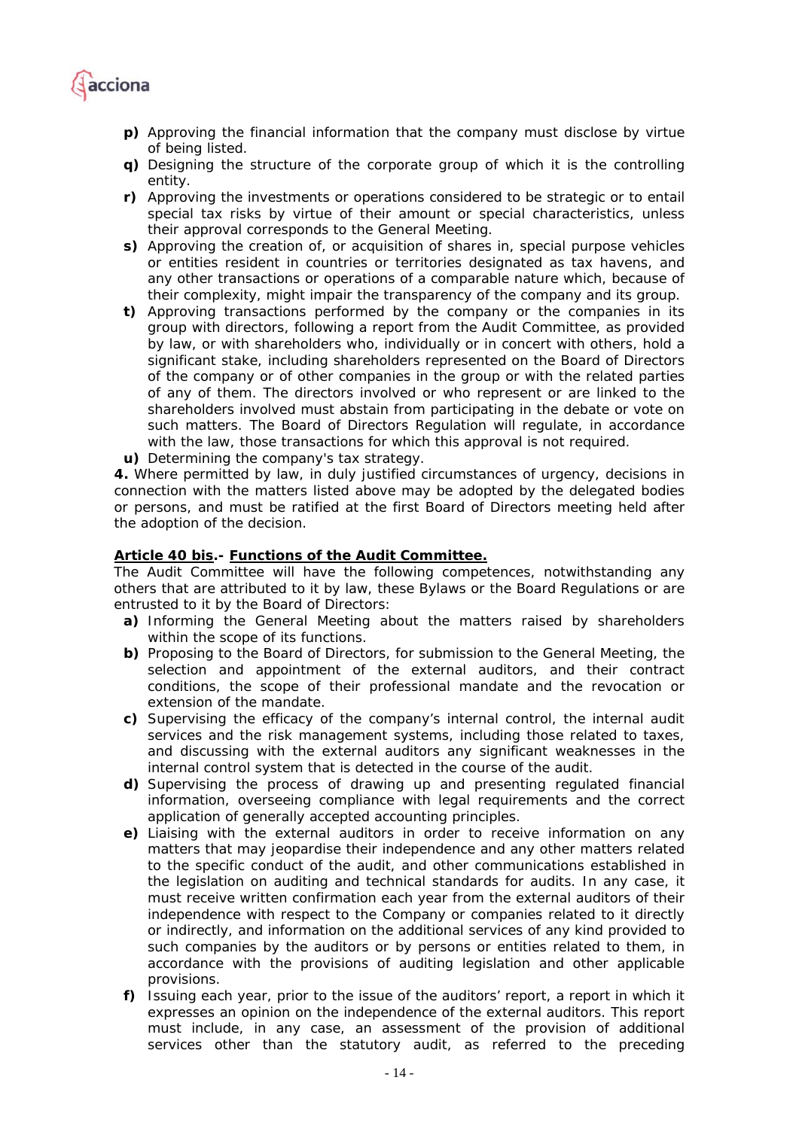

- *p) Approving the financial information that the company must disclose by virtue of being listed.*
- *q) Designing the structure of the corporate group of which it is the controlling entity.*
- *r) Approving the investments or operations considered to be strategic or to entail special tax risks by virtue of their amount or special characteristics, unless their approval corresponds to the General Meeting.*
- *s) Approving the creation of, or acquisition of shares in, special purpose vehicles or entities resident in countries or territories designated as tax havens, and any other transactions or operations of a comparable nature which, because of their complexity, might impair the transparency of the company and its group.*
- *t) Approving transactions performed by the company or the companies in its group with directors, following a report from the Audit Committee, as provided by law, or with shareholders who, individually or in concert with others, hold a significant stake, including shareholders represented on the Board of Directors of the company or of other companies in the group or with the related parties of any of them. The directors involved or who represent or are linked to the shareholders involved must abstain from participating in the debate or vote on such matters. The Board of Directors Regulation will regulate, in accordance with the law, those transactions for which this approval is not required.*
- *u) Determining the company's tax strategy.*

*4. Where permitted by law, in duly justified circumstances of urgency, decisions in connection with the matters listed above may be adopted by the delegated bodies or persons, and must be ratified at the first Board of Directors meeting held after the adoption of the decision.* 

### *Article 40 bis.- Functions of the Audit Committee.*

*The Audit Committee will have the following competences, notwithstanding any others that are attributed to it by law, these Bylaws or the Board Regulations or are entrusted to it by the Board of Directors:* 

- *a) Informing the General Meeting about the matters raised by shareholders within the scope of its functions.*
- *b) Proposing to the Board of Directors, for submission to the General Meeting, the selection and appointment of the external auditors, and their contract conditions, the scope of their professional mandate and the revocation or extension of the mandate.*
- *c) Supervising the efficacy of the company's internal control, the internal audit services and the risk management systems, including those related to taxes, and discussing with the external auditors any significant weaknesses in the internal control system that is detected in the course of the audit.*
- *d) Supervising the process of drawing up and presenting regulated financial information, overseeing compliance with legal requirements and the correct application of generally accepted accounting principles.*
- *e) Liaising with the external auditors in order to receive information on any matters that may jeopardise their independence and any other matters related to the specific conduct of the audit, and other communications established in the legislation on auditing and technical standards for audits. In any case, it must receive written confirmation each year from the external auditors of their independence with respect to the Company or companies related to it directly or indirectly, and information on the additional services of any kind provided to such companies by the auditors or by persons or entities related to them, in accordance with the provisions of auditing legislation and other applicable provisions.*
- *f) Issuing each year, prior to the issue of the auditors' report, a report in which it expresses an opinion on the independence of the external auditors. This report must include, in any case, an assessment of the provision of additional services other than the statutory audit, as referred to the preceding*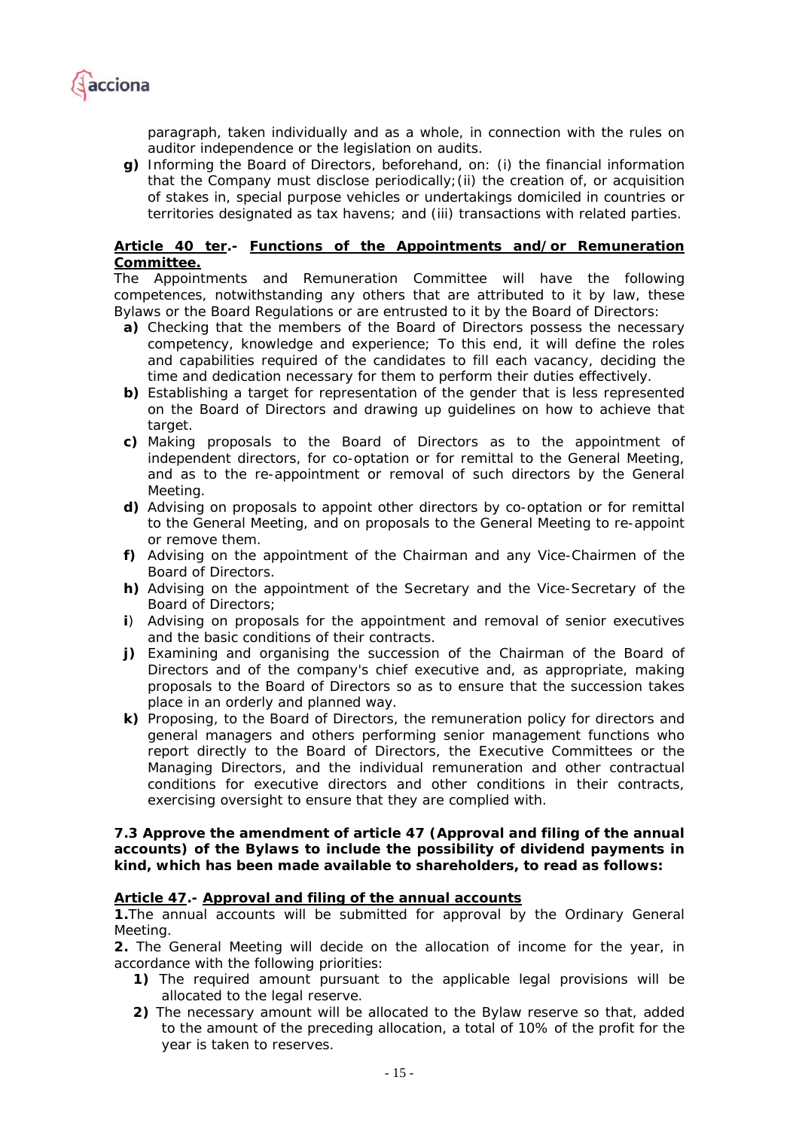

*paragraph, taken individually and as a whole, in connection with the rules on auditor independence or the legislation on audits.* 

*g) Informing the Board of Directors, beforehand, on: (i) the financial information that the Company must disclose periodically;(ii) the creation of, or acquisition of stakes in, special purpose vehicles or undertakings domiciled in countries or territories designated as tax havens; and (iii) transactions with related parties.* 

### *Article 40 ter.- Functions of the Appointments and/or Remuneration Committee.*

*The Appointments and Remuneration Committee will have the following competences, notwithstanding any others that are attributed to it by law, these Bylaws or the Board Regulations or are entrusted to it by the Board of Directors:* 

- *a) Checking that the members of the Board of Directors possess the necessary competency, knowledge and experience; To this end, it will define the roles and capabilities required of the candidates to fill each vacancy, deciding the time and dedication necessary for them to perform their duties effectively.*
- *b) Establishing a target for representation of the gender that is less represented on the Board of Directors and drawing up guidelines on how to achieve that target.*
- *c) Making proposals to the Board of Directors as to the appointment of independent directors, for co-optation or for remittal to the General Meeting,*  and as to the re-appointment or removal of such directors by the General *Meeting.*
- *d) Advising on proposals to appoint other directors by co-optation or for remittal to the General Meeting, and on proposals to the General Meeting to re-appoint or remove them.*
- *f) Advising on the appointment of the Chairman and any Vice-Chairmen of the Board of Directors.*
- *h) Advising on the appointment of the Secretary and the Vice-Secretary of the Board of Directors;*
- *i) Advising on proposals for the appointment and removal of senior executives and the basic conditions of their contracts.*
- *j*) Examining and organising the succession of the Chairman of the Board of *Directors and of the company's chief executive and, as appropriate, making proposals to the Board of Directors so as to ensure that the succession takes place in an orderly and planned way.*
- *k) Proposing, to the Board of Directors, the remuneration policy for directors and general managers and others performing senior management functions who report directly to the Board of Directors, the Executive Committees or the Managing Directors, and the individual remuneration and other contractual conditions for executive directors and other conditions in their contracts, exercising oversight to ensure that they are complied with.*

### **7.3 Approve the amendment of article 47 (Approval and filing of the annual accounts) of the Bylaws to include the possibility of dividend payments in kind, which has been made available to shareholders, to read as follows:**

## *Article 47.- Approval and filing of the annual accounts*

*1.The annual accounts will be submitted for approval by the Ordinary General Meeting.* 

*2. The General Meeting will decide on the allocation of income for the year, in accordance with the following priorities:* 

- *1) The required amount pursuant to the applicable legal provisions will be allocated to the legal reserve.*
- *2) The necessary amount will be allocated to the Bylaw reserve so that, added to the amount of the preceding allocation, a total of 10% of the profit for the year is taken to reserves.*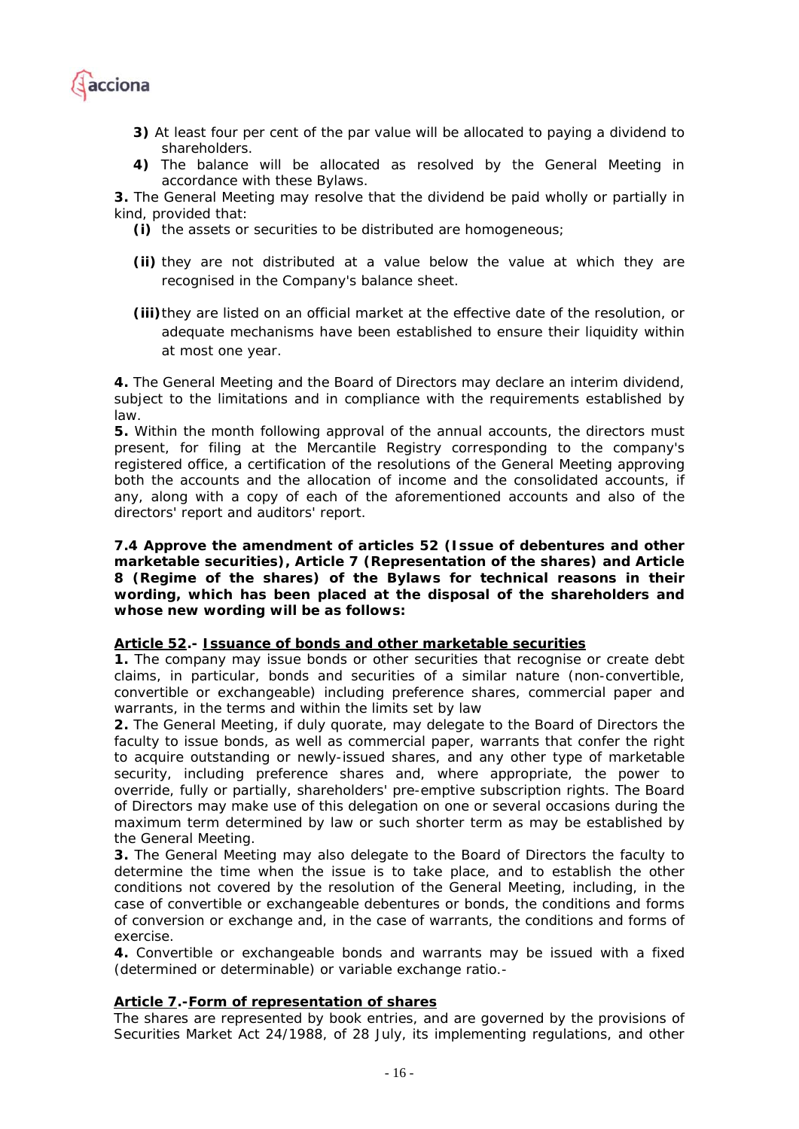

- *3) At least four per cent of the par value will be allocated to paying a dividend to shareholders.*
- *4) The balance will be allocated as resolved by the General Meeting in accordance with these Bylaws.*

*3. The General Meeting may resolve that the dividend be paid wholly or partially in kind, provided that:* 

- *(i) the assets or securities to be distributed are homogeneous;*
- *(ii) they are not distributed at a value below the value at which they are recognised in the Company's balance sheet.*

*(iii)they are listed on an official market at the effective date of the resolution, or adequate mechanisms have been established to ensure their liquidity within at most one year.* 

*4. The General Meeting and the Board of Directors may declare an interim dividend, subject to the limitations and in compliance with the requirements established by law.* 

*5. Within the month following approval of the annual accounts, the directors must present, for filing at the Mercantile Registry corresponding to the company's registered office, a certification of the resolutions of the General Meeting approving*  both the accounts and the allocation of income and the consolidated accounts, if any, along with a copy of each of the aforementioned accounts and also of the *directors' report and auditors' report.* 

**7.4 Approve the amendment of articles 52 (Issue of debentures and other marketable securities), Article 7 (Representation of the shares) and Article 8 (Regime of the shares) of the Bylaws for technical reasons in their wording, which has been placed at the disposal of the shareholders and whose new wording will be as follows:** 

## *Article 52.- Issuance of bonds and other marketable securities*

*1. The company may issue bonds or other securities that recognise or create debt claims, in particular, bonds and securities of a similar nature (non-convertible, convertible or exchangeable) including preference shares, commercial paper and warrants, in the terms and within the limits set by law* 

*2. The General Meeting, if duly quorate, may delegate to the Board of Directors the*  faculty to issue bonds, as well as commercial paper, warrants that confer the right *to acquire outstanding or newly-issued shares, and any other type of marketable security, including preference shares and, where appropriate, the power to override, fully or partially, shareholders' pre-emptive subscription rights. The Board of Directors may make use of this delegation on one or several occasions during the maximum term determined by law or such shorter term as may be established by the General Meeting.* 

*3. The General Meeting may also delegate to the Board of Directors the faculty to determine the time when the issue is to take place, and to establish the other conditions not covered by the resolution of the General Meeting, including, in the case of convertible or exchangeable debentures or bonds, the conditions and forms of conversion or exchange and, in the case of warrants, the conditions and forms of exercise.* 

*4. Convertible or exchangeable bonds and warrants may be issued with a fixed (determined or determinable) or variable exchange ratio.-* 

## *Article 7.-Form of representation of shares*

*The shares are represented by book entries, and are governed by the provisions of Securities Market Act 24/1988, of 28 July, its implementing regulations, and other*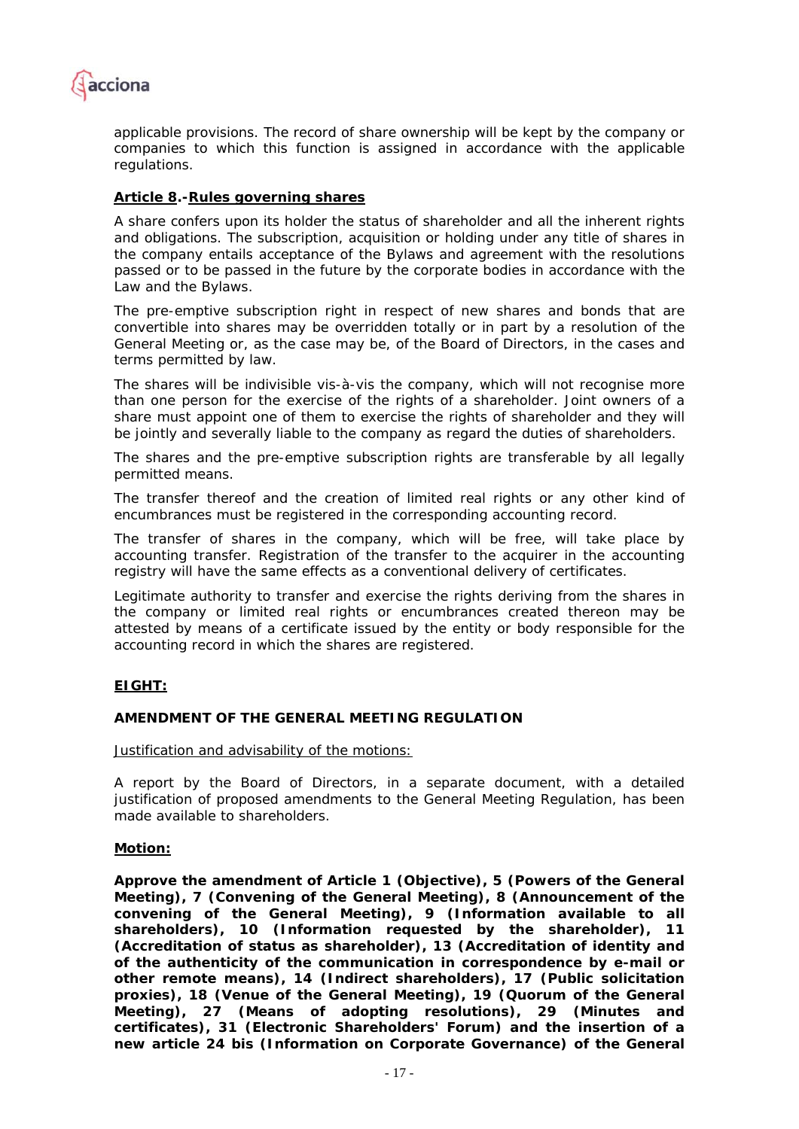

*applicable provisions. The record of share ownership will be kept by the company or companies to which this function is assigned in accordance with the applicable regulations.* 

## *Article 8.-Rules governing shares*

*A share confers upon its holder the status of shareholder and all the inherent rights and obligations. The subscription, acquisition or holding under any title of shares in the company entails acceptance of the Bylaws and agreement with the resolutions passed or to be passed in the future by the corporate bodies in accordance with the Law and the Bylaws.* 

*The pre-emptive subscription right in respect of new shares and bonds that are convertible into shares may be overridden totally or in part by a resolution of the General Meeting or, as the case may be, of the Board of Directors, in the cases and terms permitted by law.* 

*The shares will be indivisible vis-à-vis the company, which will not recognise more than one person for the exercise of the rights of a shareholder. Joint owners of a share must appoint one of them to exercise the rights of shareholder and they will be jointly and severally liable to the company as regard the duties of shareholders.* 

*The shares and the pre-emptive subscription rights are transferable by all legally permitted means.* 

The transfer thereof and the creation of limited real rights or any other kind of *encumbrances must be registered in the corresponding accounting record.* 

*The transfer of shares in the company, which will be free, will take place by accounting transfer. Registration of the transfer to the acquirer in the accounting registry will have the same effects as a conventional delivery of certificates.* 

Legitimate authority to transfer and exercise the rights deriving from the shares in *the company or limited real rights or encumbrances created thereon may be attested by means of a certificate issued by the entity or body responsible for the accounting record in which the shares are registered.* 

## **EIGHT:**

## **AMENDMENT OF THE GENERAL MEETING REGULATION**

Justification and advisability of the motions:

A report by the Board of Directors, in a separate document, with a detailed justification of proposed amendments to the General Meeting Regulation, has been made available to shareholders.

#### **Motion:**

**Approve the amendment of Article 1 (Objective), 5 (Powers of the General Meeting), 7 (Convening of the General Meeting), 8 (Announcement of the convening of the General Meeting), 9 (Information available to all shareholders), 10 (Information requested by the shareholder), 11 (Accreditation of status as shareholder), 13 (Accreditation of identity and of the authenticity of the communication in correspondence by e-mail or other remote means), 14 (Indirect shareholders), 17 (Public solicitation proxies), 18 (Venue of the General Meeting), 19 (Quorum of the General Meeting), 27 (Means of adopting resolutions), 29 (Minutes and certificates), 31 (Electronic Shareholders' Forum) and the insertion of a new article 24 bis (Information on Corporate Governance) of the General**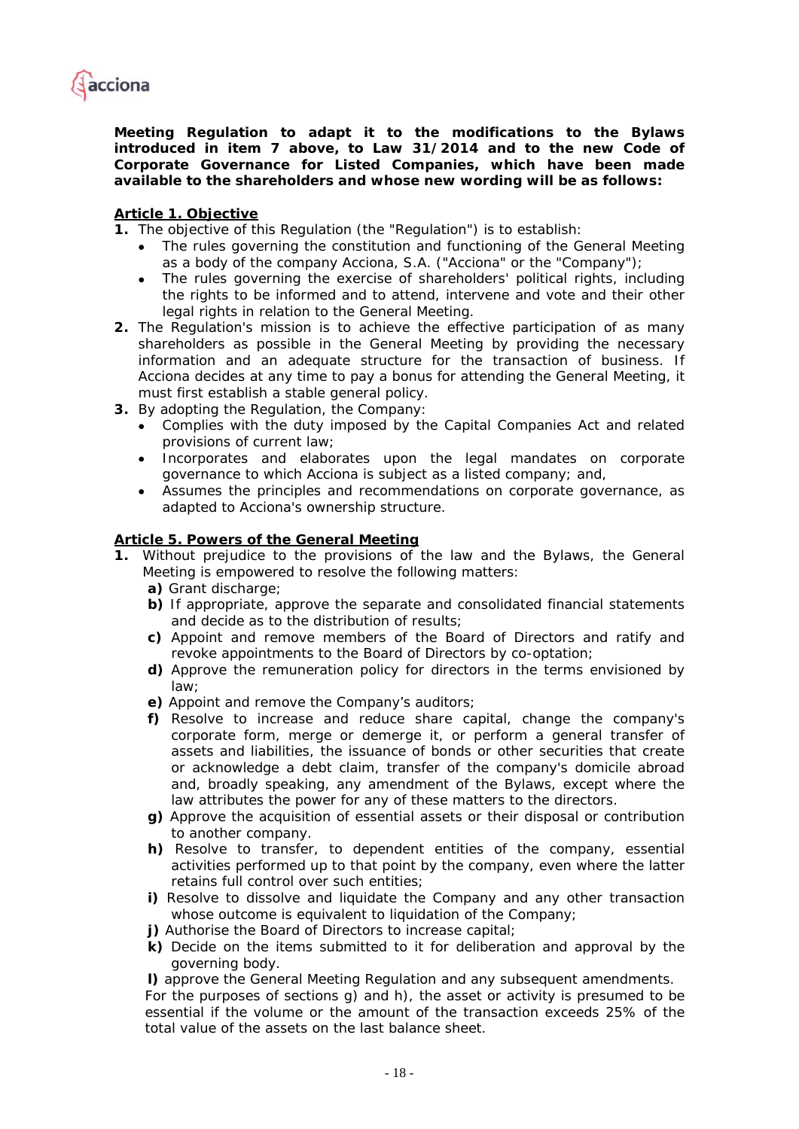

**Meeting Regulation to adapt it to the modifications to the Bylaws introduced in item 7 above, to Law 31/2014 and to the new Code of Corporate Governance for Listed Companies, which have been made available to the shareholders and whose new wording will be as follows:** 

## *Article 1. Objective*

*1. The objective of this Regulation (the "Regulation") is to establish:* 

- *The rules governing the constitution and functioning of the General Meeting as a body of the company Acciona, S.A. ("Acciona" or the "Company");*
- *The rules governing the exercise of shareholders' political rights, including the rights to be informed and to attend, intervene and vote and their other legal rights in relation to the General Meeting.*
- *2. The Regulation's mission is to achieve the effective participation of as many shareholders as possible in the General Meeting by providing the necessary information and an adequate structure for the transaction of business. If Acciona decides at any time to pay a bonus for attending the General Meeting, it must first establish a stable general policy.*
- *3. By adopting the Regulation, the Company:* 
	- *Complies with the duty imposed by the Capital Companies Act and related provisions of current law;*
	- *Incorporates and elaborates upon the legal mandates on corporate governance to which Acciona is subject as a listed company; and,*
	- *Assumes the principles and recommendations on corporate governance, as adapted to Acciona's ownership structure.*

## *Article 5. Powers of the General Meeting*

- **1.** *Without prejudice to the provisions of the law and the Bylaws, the General Meeting is empowered to resolve the following matters:* 
	- *a) Grant discharge;*
	- *b) If appropriate, approve the separate and consolidated financial statements and decide as to the distribution of results;*
	- *c) Appoint and remove members of the Board of Directors and ratify and revoke appointments to the Board of Directors by co-optation;*
	- *d) Approve the remuneration policy for directors in the terms envisioned by law;*
	- *e) Appoint and remove the Company's auditors;*
	- *f) Resolve to increase and reduce share capital, change the company's corporate form, merge or demerge it, or perform a general transfer of assets and liabilities, the issuance of bonds or other securities that create or acknowledge a debt claim, transfer of the company's domicile abroad and, broadly speaking, any amendment of the Bylaws, except where the law attributes the power for any of these matters to the directors.*
	- *g) Approve the acquisition of essential assets or their disposal or contribution to another company.*
	- *h) Resolve to transfer, to dependent entities of the company, essential activities performed up to that point by the company, even where the latter retains full control over such entities;*
	- *i) Resolve to dissolve and liquidate the Company and any other transaction whose outcome is equivalent to liquidation of the Company;*
	- *j) Authorise the Board of Directors to increase capital;*
	- *k) Decide on the items submitted to it for deliberation and approval by the governing body.*
	- *l) approve the General Meeting Regulation and any subsequent amendments.*

*For the purposes of sections g) and h), the asset or activity is presumed to be essential if the volume or the amount of the transaction exceeds 25% of the total value of the assets on the last balance sheet.*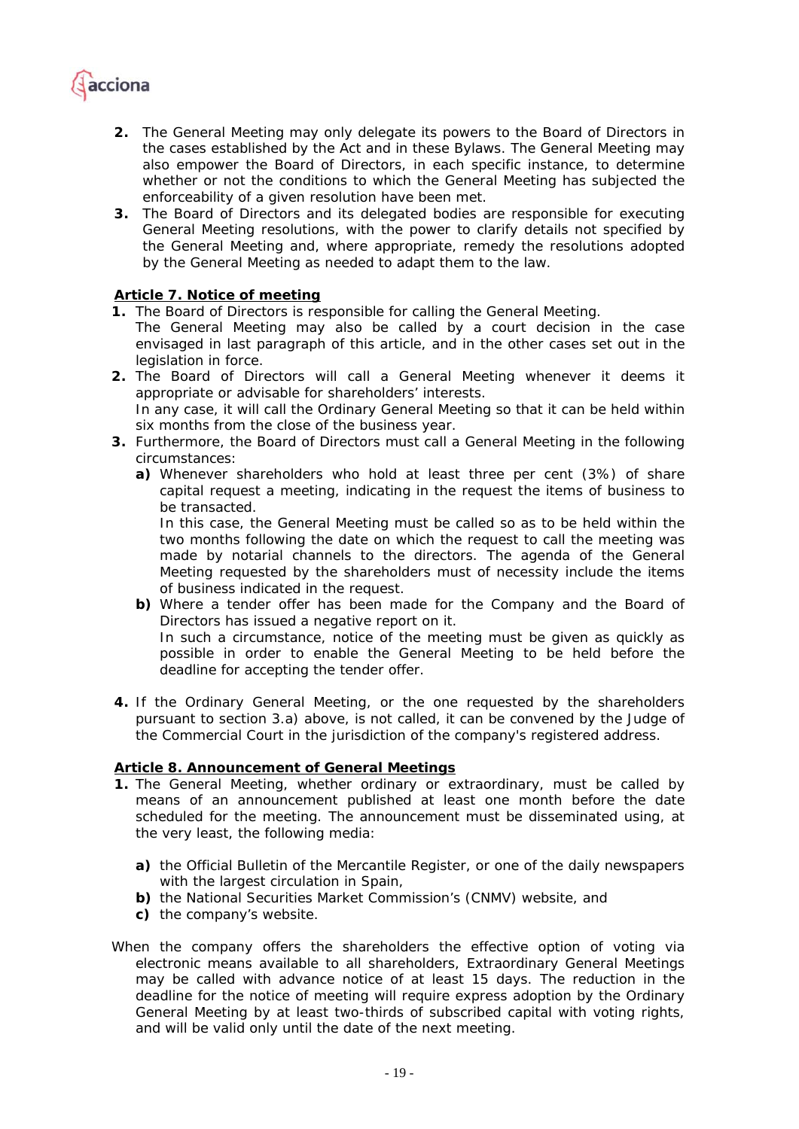

- **2.** *The General Meeting may only delegate its powers to the Board of Directors in the cases established by the Act and in these Bylaws. The General Meeting may also empower the Board of Directors, in each specific instance, to determine*  whether or not the conditions to which the General Meeting has subjected the *enforceability of a given resolution have been met.*
- **3.** *The Board of Directors and its delegated bodies are responsible for executing General Meeting resolutions, with the power to clarify details not specified by the General Meeting and, where appropriate, remedy the resolutions adopted by the General Meeting as needed to adapt them to the law.*

# *Article 7. Notice of meeting*

- *1. The Board of Directors is responsible for calling the General Meeting.*
- *The General Meeting may also be called by a court decision in the case envisaged in last paragraph of this article, and in the other cases set out in the legislation in force.*
- *2. The Board of Directors will call a General Meeting whenever it deems it appropriate or advisable for shareholders' interests. In any case, it will call the Ordinary General Meeting so that it can be held within*
- *six months from the close of the business year. 3. Furthermore, the Board of Directors must call a General Meeting in the following circumstances:* 
	- *a) Whenever shareholders who hold at least three per cent (3%) of share capital request a meeting, indicating in the request the items of business to be transacted.*

In this case, the General Meeting must be called so as to be held within the *two months following the date on which the request to call the meeting was made by notarial channels to the directors. The agenda of the General Meeting requested by the shareholders must of necessity include the items of business indicated in the request.* 

- *b) Where a tender offer has been made for the Company and the Board of Directors has issued a negative report on it. In such a circumstance, notice of the meeting must be given as quickly as possible in order to enable the General Meeting to be held before the deadline for accepting the tender offer.*
- *4. If the Ordinary General Meeting, or the one requested by the shareholders pursuant to section 3.a) above, is not called, it can be convened by the Judge of the Commercial Court in the jurisdiction of the company's registered address.*

## *Article 8. Announcement of General Meetings*

- *1. The General Meeting, whether ordinary or extraordinary, must be called by means of an announcement published at least one month before the date scheduled for the meeting. The announcement must be disseminated using, at the very least, the following media:* 
	- *a) the Official Bulletin of the Mercantile Register, or one of the daily newspapers with the largest circulation in Spain,*
	- *b) the National Securities Market Commission's (CNMV) website, and*
	- *c) the company's website.*
- *When the company offers the shareholders the effective option of voting via electronic means available to all shareholders, Extraordinary General Meetings may be called with advance notice of at least 15 days. The reduction in the deadline for the notice of meeting will require express adoption by the Ordinary General Meeting by at least two-thirds of subscribed capital with voting rights, and will be valid only until the date of the next meeting.*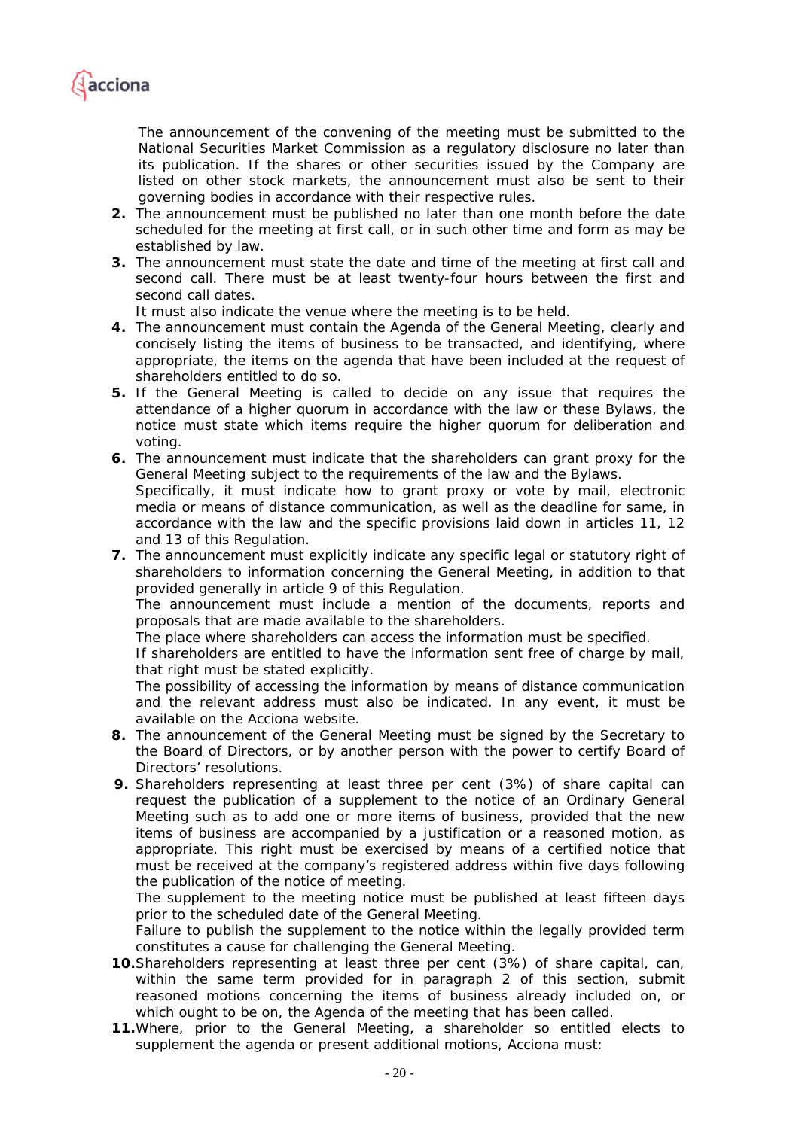

The announcement of the convening of the meeting must be submitted to the *National Securities Market Commission as a regulatory disclosure no later than its publication. If the shares or other securities issued by the Company are*  listed on other stock markets, the announcement must also be sent to their *governing bodies in accordance with their respective rules.* 

- *2. The announcement must be published no later than one month before the date scheduled for the meeting at first call, or in such other time and form as may be established by law.*
- *3. The announcement must state the date and time of the meeting at first call and second call. There must be at least twenty-four hours between the first and second call dates.*

*It must also indicate the venue where the meeting is to be held.* 

- *4. The announcement must contain the Agenda of the General Meeting, clearly and concisely listing the items of business to be transacted, and identifying, where*  appropriate, the items on the agenda that have been included at the request of *shareholders entitled to do so.*
- *5. If the General Meeting is called to decide on any issue that requires the attendance of a higher quorum in accordance with the law or these Bylaws, the notice must state which items require the higher quorum for deliberation and voting.*
- *6. The announcement must indicate that the shareholders can grant proxy for the General Meeting subject to the requirements of the law and the Bylaws.*

*Specifically, it must indicate how to grant proxy or vote by mail, electronic media or means of distance communication, as well as the deadline for same, in accordance with the law and the specific provisions laid down in articles 11, 12 and 13 of this Regulation.* 

*7. The announcement must explicitly indicate any specific legal or statutory right of shareholders to information concerning the General Meeting, in addition to that provided generally in article 9 of this Regulation.* 

*The announcement must include a mention of the documents, reports and proposals that are made available to the shareholders.* 

*The place where shareholders can access the information must be specified.* 

*If shareholders are entitled to have the information sent free of charge by mail, that right must be stated explicitly.* 

*The possibility of accessing the information by means of distance communication and the relevant address must also be indicated. In any event, it must be available on the Acciona website.* 

- *8. The announcement of the General Meeting must be signed by the Secretary to the Board of Directors, or by another person with the power to certify Board of Directors' resolutions.*
- *9. Shareholders representing at least three per cent (3%) of share capital can*  request the publication of a supplement to the notice of an Ordinary General *Meeting such as to add one or more items of business, provided that the new items of business are accompanied by a justification or a reasoned motion, as*  appropriate. This right must be exercised by means of a certified notice that *must be received at the company's registered address within five days following the publication of the notice of meeting.*

*The supplement to the meeting notice must be published at least fifteen days prior to the scheduled date of the General Meeting.* 

*Failure to publish the supplement to the notice within the legally provided term constitutes a cause for challenging the General Meeting.* 

- *10.Shareholders representing at least three per cent (3%) of share capital, can, within the same term provided for in paragraph 2 of this section, submit*  reasoned motions concerning the items of business already included on, or *which ought to be on, the Agenda of the meeting that has been called.*
- *11.Where, prior to the General Meeting, a shareholder so entitled elects to supplement the agenda or present additional motions, Acciona must:*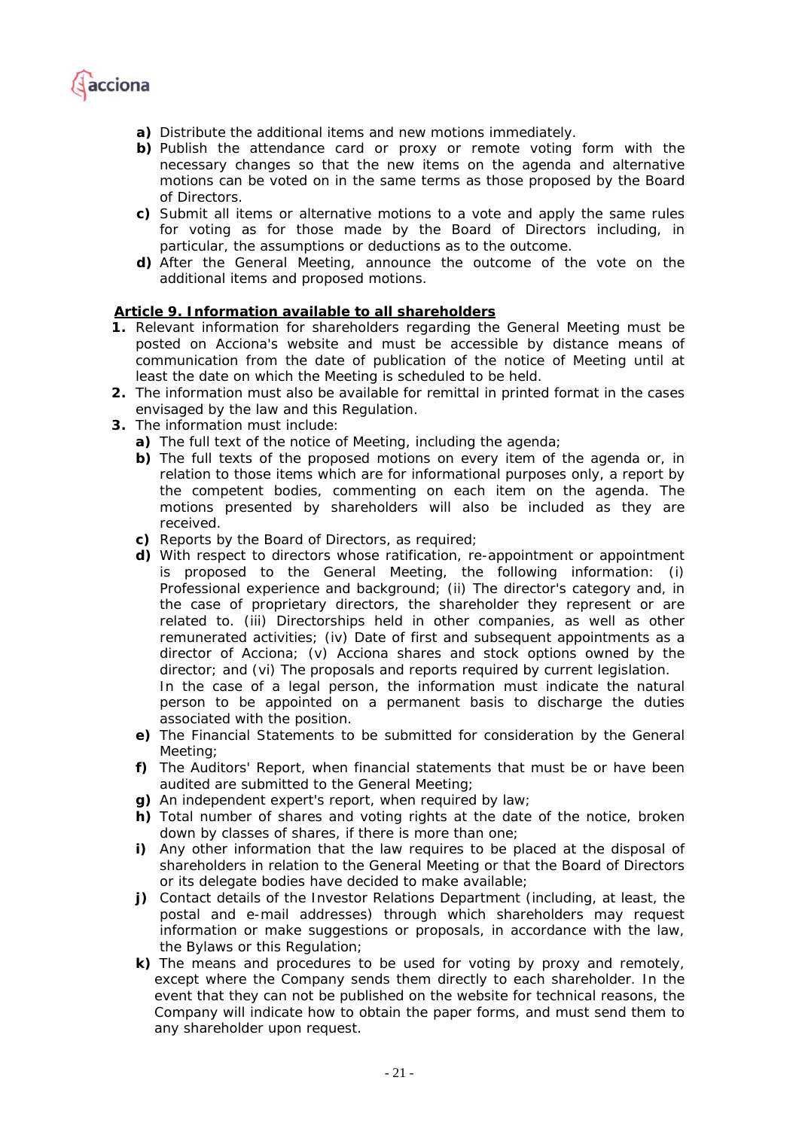

- *a) Distribute the additional items and new motions immediately.*
- *b) Publish the attendance card or proxy or remote voting form with the necessary changes so that the new items on the agenda and alternative motions can be voted on in the same terms as those proposed by the Board of Directors.*
- *c) Submit all items or alternative motions to a vote and apply the same rules for voting as for those made by the Board of Directors including, in particular, the assumptions or deductions as to the outcome.*
- *d) After the General Meeting, announce the outcome of the vote on the additional items and proposed motions.*

## *Article 9. Information available to all shareholders*

- *1. Relevant information for shareholders regarding the General Meeting must be posted on Acciona's website and must be accessible by distance means of communication from the date of publication of the notice of Meeting until at least the date on which the Meeting is scheduled to be held.*
- *2. The information must also be available for remittal in printed format in the cases envisaged by the law and this Regulation.*
- *3. The information must include:* 
	- *a) The full text of the notice of Meeting, including the agenda;*
	- *b)* The full texts of the proposed motions on every item of the agenda or, in *relation to those items which are for informational purposes only, a report by the competent bodies, commenting on each item on the agenda. The motions presented by shareholders will also be included as they are received.*
	- *c) Reports by the Board of Directors, as required;*
	- *d) With respect to directors whose ratification, re-appointment or appointment is proposed to the General Meeting, the following information: (i) Professional experience and background; (ii) The director's category and, in the case of proprietary directors, the shareholder they represent or are*  related to. (iii) Directorships held in other companies, as well as other *remunerated activities; (iv) Date of first and subsequent appointments as a director of Acciona; (v) Acciona shares and stock options owned by the director; and (vi) The proposals and reports required by current legislation.*  In the case of a legal person, the information must indicate the natural

*person to be appointed on a permanent basis to discharge the duties associated with the position.* 

- *e) The Financial Statements to be submitted for consideration by the General Meeting;*
- *f) The Auditors' Report, when financial statements that must be or have been audited are submitted to the General Meeting;*
- *g) An independent expert's report, when required by law;*
- *h) Total number of shares and voting rights at the date of the notice, broken down by classes of shares, if there is more than one;*
- *i*) Any other information that the law requires to be placed at the disposal of *shareholders in relation to the General Meeting or that the Board of Directors or its delegate bodies have decided to make available;*
- *j) Contact details of the Investor Relations Department (including, at least, the postal and e-mail addresses) through which shareholders may request information or make suggestions or proposals, in accordance with the law, the Bylaws or this Regulation;*
- *k) The means and procedures to be used for voting by proxy and remotely, except where the Company sends them directly to each shareholder. In the event that they can not be published on the website for technical reasons, the Company will indicate how to obtain the paper forms, and must send them to any shareholder upon request.*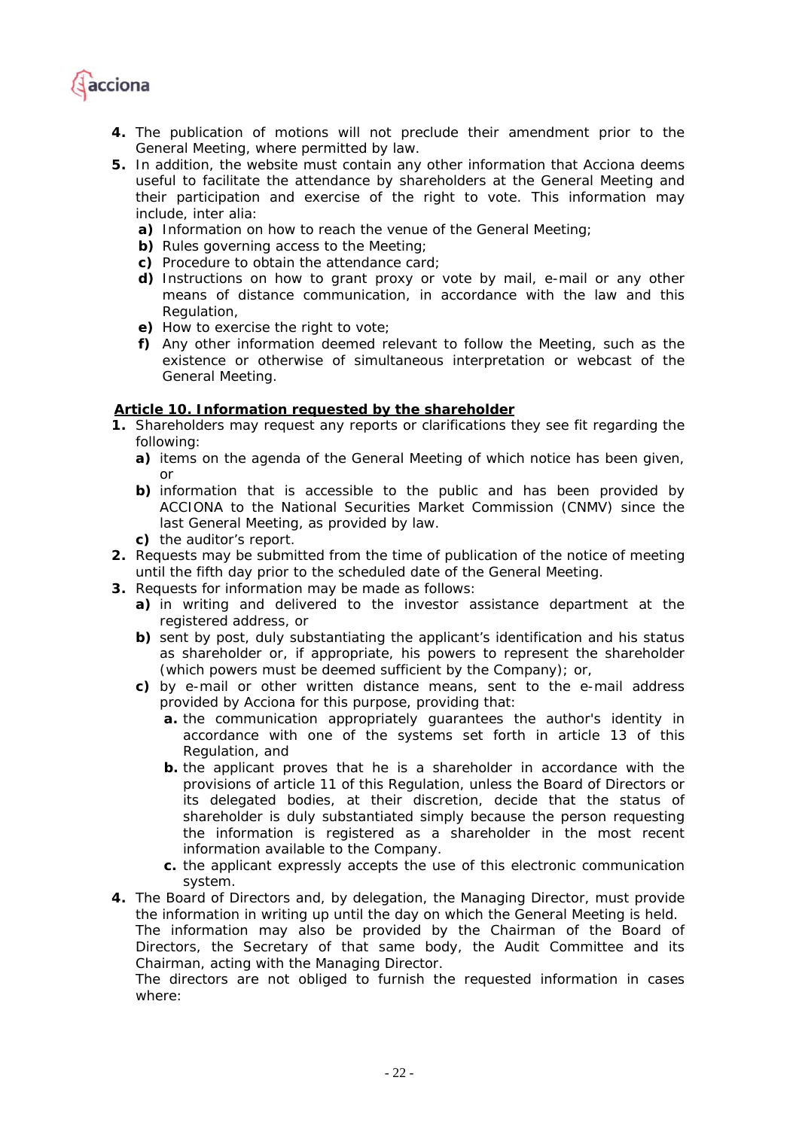

- *4. The publication of motions will not preclude their amendment prior to the General Meeting, where permitted by law.*
- *5. In addition, the website must contain any other information that Acciona deems useful to facilitate the attendance by shareholders at the General Meeting and their participation and exercise of the right to vote. This information may include, inter alia:* 
	- *a) Information on how to reach the venue of the General Meeting;*
	- *b) Rules governing access to the Meeting;*
	- *c) Procedure to obtain the attendance card;*
	- *d) Instructions on how to grant proxy or vote by mail, e-mail or any other means of distance communication, in accordance with the law and this Regulation,*
	- *e) How to exercise the right to vote;*
	- *f) Any other information deemed relevant to follow the Meeting, such as the existence or otherwise of simultaneous interpretation or webcast of the General Meeting.*

### *Article 10. Information requested by the shareholder*

- *1. Shareholders may request any reports or clarifications they see fit regarding the following:* 
	- *a) items on the agenda of the General Meeting of which notice has been given, or*
	- *b) information that is accessible to the public and has been provided by ACCIONA to the National Securities Market Commission (CNMV) since the last General Meeting, as provided by law.*
	- *c) the auditor's report.*
- *2. Requests may be submitted from the time of publication of the notice of meeting until the fifth day prior to the scheduled date of the General Meeting.*
- *3. Requests for information may be made as follows:* 
	- *a) in writing and delivered to the investor assistance department at the registered address, or*
	- *b) sent by post, duly substantiating the applicant's identification and his status as shareholder or, if appropriate, his powers to represent the shareholder (which powers must be deemed sufficient by the Company); or,*
	- *c) by e-mail or other written distance means, sent to the e-mail address provided by Acciona for this purpose, providing that:* 
		- *a. the communication appropriately guarantees the author's identity in accordance with one of the systems set forth in article 13 of this Regulation, and*
		- *b. the applicant proves that he is a shareholder in accordance with the provisions of article 11 of this Regulation, unless the Board of Directors or its delegated bodies, at their discretion, decide that the status of shareholder is duly substantiated simply because the person requesting the information is registered as a shareholder in the most recent information available to the Company.*
		- *c. the applicant expressly accepts the use of this electronic communication system.*
- *4. The Board of Directors and, by delegation, the Managing Director, must provide the information in writing up until the day on which the General Meeting is held. The information may also be provided by the Chairman of the Board of Directors, the Secretary of that same body, the Audit Committee and its Chairman, acting with the Managing Director.*

*The directors are not obliged to furnish the requested information in cases where:*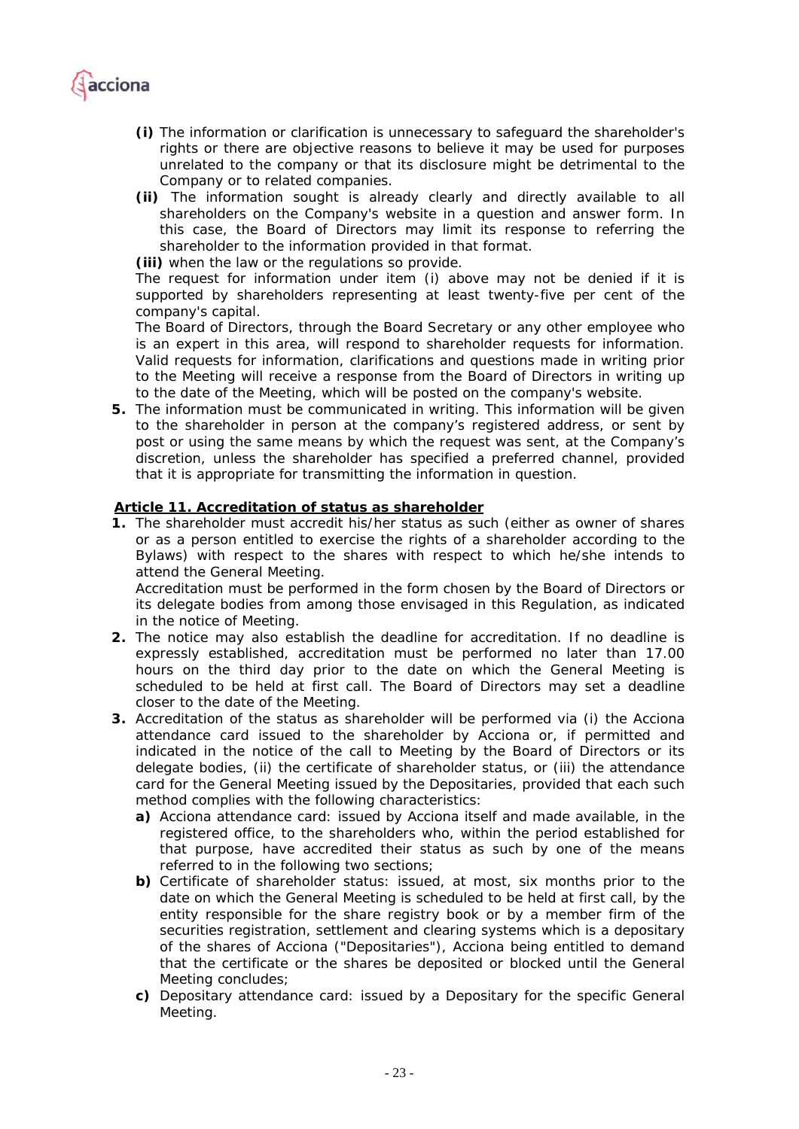

- *(i) The information or clarification is unnecessary to safeguard the shareholder's rights or there are objective reasons to believe it may be used for purposes unrelated to the company or that its disclosure might be detrimental to the Company or to related companies.*
- *(ii) The information sought is already clearly and directly available to all shareholders on the Company's website in a question and answer form. In this case, the Board of Directors may limit its response to referring the shareholder to the information provided in that format.*

*(iii) when the law or the regulations so provide.* 

*The request for information under item (i) above may not be denied if it is supported by shareholders representing at least twenty-five per cent of the company's capital.* 

*The Board of Directors, through the Board Secretary or any other employee who is an expert in this area, will respond to shareholder requests for information. Valid requests for information, clarifications and questions made in writing prior to the Meeting will receive a response from the Board of Directors in writing up to the date of the Meeting, which will be posted on the company's website.* 

*5. The information must be communicated in writing. This information will be given to the shareholder in person at the company's registered address, or sent by post or using the same means by which the request was sent, at the Company's discretion, unless the shareholder has specified a preferred channel, provided that it is appropriate for transmitting the information in question.* 

## *Article 11. Accreditation of status as shareholder*

*1. The shareholder must accredit his/her status as such (either as owner of shares or as a person entitled to exercise the rights of a shareholder according to the Bylaws) with respect to the shares with respect to which he/she intends to attend the General Meeting.* 

*Accreditation must be performed in the form chosen by the Board of Directors or its delegate bodies from among those envisaged in this Regulation, as indicated in the notice of Meeting.* 

- *2. The notice may also establish the deadline for accreditation. If no deadline is expressly established, accreditation must be performed no later than 17.00 hours on the third day prior to the date on which the General Meeting is scheduled to be held at first call. The Board of Directors may set a deadline closer to the date of the Meeting.*
- *3. Accreditation of the status as shareholder will be performed via (i) the Acciona attendance card issued to the shareholder by Acciona or, if permitted and indicated in the notice of the call to Meeting by the Board of Directors or its delegate bodies, (ii) the certificate of shareholder status, or (iii) the attendance card for the General Meeting issued by the Depositaries, provided that each such method complies with the following characteristics:* 
	- *a) Acciona attendance card: issued by Acciona itself and made available, in the registered office, to the shareholders who, within the period established for that purpose, have accredited their status as such by one of the means referred to in the following two sections;*
	- *b) Certificate of shareholder status: issued, at most, six months prior to the*  date on which the General Meeting is scheduled to be held at first call, by the *entity responsible for the share registry book or by a member firm of the securities registration, settlement and clearing systems which is a depositary of the shares of Acciona ("Depositaries"), Acciona being entitled to demand that the certificate or the shares be deposited or blocked until the General Meeting concludes;*
	- *c) Depositary attendance card: issued by a Depositary for the specific General Meeting.*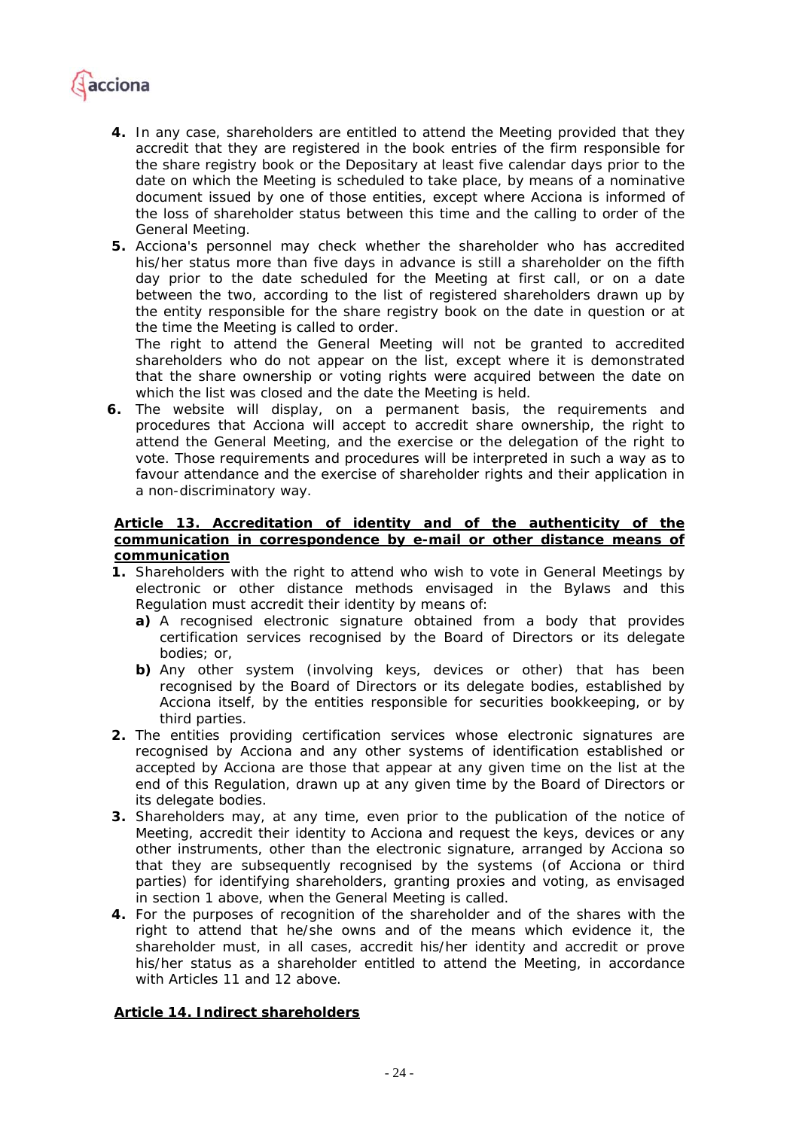

- *4. In any case, shareholders are entitled to attend the Meeting provided that they accredit that they are registered in the book entries of the firm responsible for the share registry book or the Depositary at least five calendar days prior to the date on which the Meeting is scheduled to take place, by means of a nominative document issued by one of those entities, except where Acciona is informed of the loss of shareholder status between this time and the calling to order of the General Meeting.*
- *5. Acciona's personnel may check whether the shareholder who has accredited his/her status more than five days in advance is still a shareholder on the fifth day prior to the date scheduled for the Meeting at first call, or on a date between the two, according to the list of registered shareholders drawn up by the entity responsible for the share registry book on the date in question or at the time the Meeting is called to order.*

*The right to attend the General Meeting will not be granted to accredited shareholders who do not appear on the list, except where it is demonstrated that the share ownership or voting rights were acquired between the date on which the list was closed and the date the Meeting is held.* 

*6. The website will display, on a permanent basis, the requirements and procedures that Acciona will accept to accredit share ownership, the right to attend the General Meeting, and the exercise or the delegation of the right to vote. Those requirements and procedures will be interpreted in such a way as to*  favour attendance and the exercise of shareholder rights and their application in *a non-discriminatory way.* 

## *Article 13. Accreditation of identity and of the authenticity of the communication in correspondence by e-mail or other distance means of communication*

- *1. Shareholders with the right to attend who wish to vote in General Meetings by electronic or other distance methods envisaged in the Bylaws and this Regulation must accredit their identity by means of:* 
	- *a) A recognised electronic signature obtained from a body that provides certification services recognised by the Board of Directors or its delegate bodies; or,*
	- *b) Any other system (involving keys, devices or other) that has been recognised by the Board of Directors or its delegate bodies, established by Acciona itself, by the entities responsible for securities bookkeeping, or by third parties.*
- *2. The entities providing certification services whose electronic signatures are recognised by Acciona and any other systems of identification established or*  accepted by Acciona are those that appear at any given time on the list at the *end of this Regulation, drawn up at any given time by the Board of Directors or its delegate bodies.*
- *3. Shareholders may, at any time, even prior to the publication of the notice of Meeting, accredit their identity to Acciona and request the keys, devices or any other instruments, other than the electronic signature, arranged by Acciona so that they are subsequently recognised by the systems (of Acciona or third parties) for identifying shareholders, granting proxies and voting, as envisaged in section 1 above, when the General Meeting is called.*
- *4. For the purposes of recognition of the shareholder and of the shares with the*  right to attend that he/she owns and of the means which evidence it, the *shareholder must, in all cases, accredit his/her identity and accredit or prove his/her status as a shareholder entitled to attend the Meeting, in accordance with Articles 11 and 12 above.*

# *Article 14. Indirect shareholders*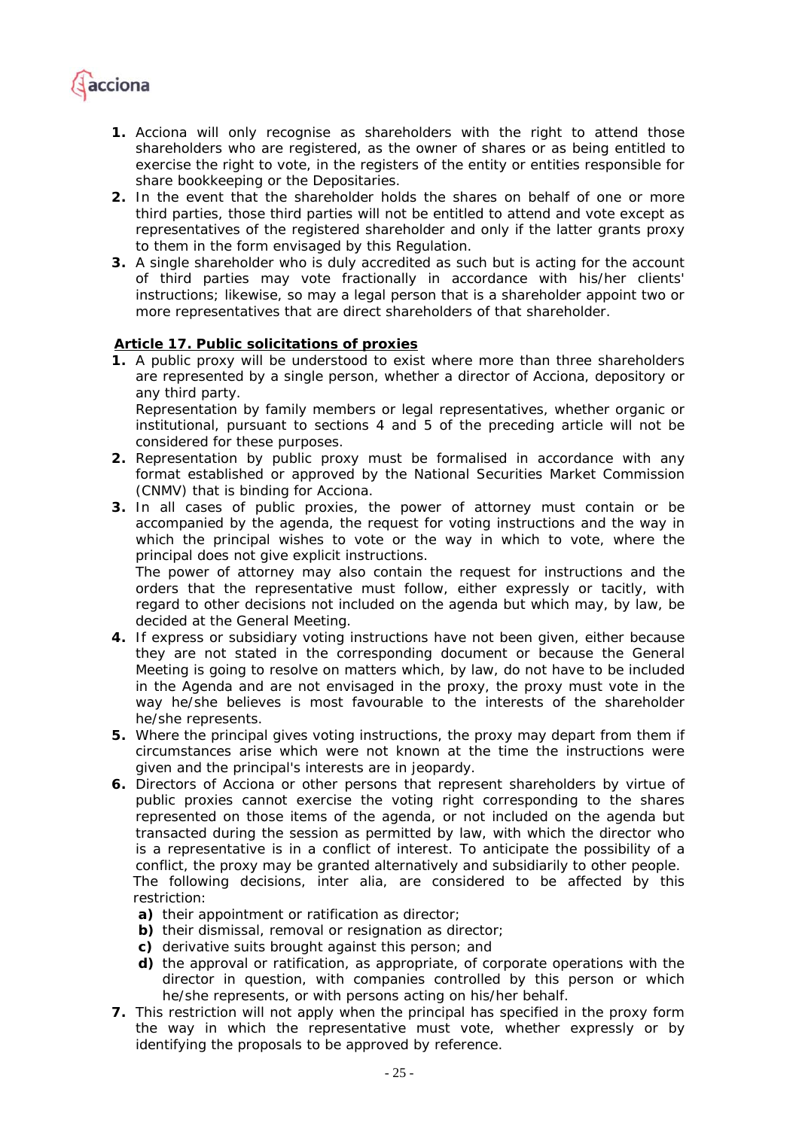

- *1. Acciona will only recognise as shareholders with the right to attend those shareholders who are registered, as the owner of shares or as being entitled to exercise the right to vote, in the registers of the entity or entities responsible for share bookkeeping or the Depositaries.*
- *2. In the event that the shareholder holds the shares on behalf of one or more third parties, those third parties will not be entitled to attend and vote except as representatives of the registered shareholder and only if the latter grants proxy to them in the form envisaged by this Regulation.*
- *3. A single shareholder who is duly accredited as such but is acting for the account of third parties may vote fractionally in accordance with his/her clients' instructions; likewise, so may a legal person that is a shareholder appoint two or more representatives that are direct shareholders of that shareholder.*

## *Article 17. Public solicitations of proxies*

*1. A public proxy will be understood to exist where more than three shareholders are represented by a single person, whether a director of Acciona, depository or any third party. Representation by family members or legal representatives, whether organic or* 

*institutional, pursuant to sections 4 and 5 of the preceding article will not be considered for these purposes.* 

- *2. Representation by public proxy must be formalised in accordance with any format established or approved by the National Securities Market Commission (CNMV) that is binding for Acciona.*
- *3. In all cases of public proxies, the power of attorney must contain or be accompanied by the agenda, the request for voting instructions and the way in*  which the principal wishes to vote or the way in which to vote, where the *principal does not give explicit instructions.*

*The power of attorney may also contain the request for instructions and the orders that the representative must follow, either expressly or tacitly, with regard to other decisions not included on the agenda but which may, by law, be decided at the General Meeting.* 

- *4. If express or subsidiary voting instructions have not been given, either because they are not stated in the corresponding document or because the General Meeting is going to resolve on matters which, by law, do not have to be included in the Agenda and are not envisaged in the proxy, the proxy must vote in the way he/she believes is most favourable to the interests of the shareholder he/she represents.*
- *5. Where the principal gives voting instructions, the proxy may depart from them if circumstances arise which were not known at the time the instructions were given and the principal's interests are in jeopardy.*
- *6. Directors of Acciona or other persons that represent shareholders by virtue of public proxies cannot exercise the voting right corresponding to the shares represented on those items of the agenda, or not included on the agenda but transacted during the session as permitted by law, with which the director who is a representative is in a conflict of interest. To anticipate the possibility of a conflict, the proxy may be granted alternatively and subsidiarily to other people. The following decisions, inter alia, are considered to be affected by this restriction:* 
	- *a) their appointment or ratification as director;*
	- *b) their dismissal, removal or resignation as director;*
	- *c) derivative suits brought against this person; and*
	- *d) the approval or ratification, as appropriate, of corporate operations with the director in question, with companies controlled by this person or which he/she represents, or with persons acting on his/her behalf.*
- *7. This restriction will not apply when the principal has specified in the proxy form the way in which the representative must vote, whether expressly or by identifying the proposals to be approved by reference.*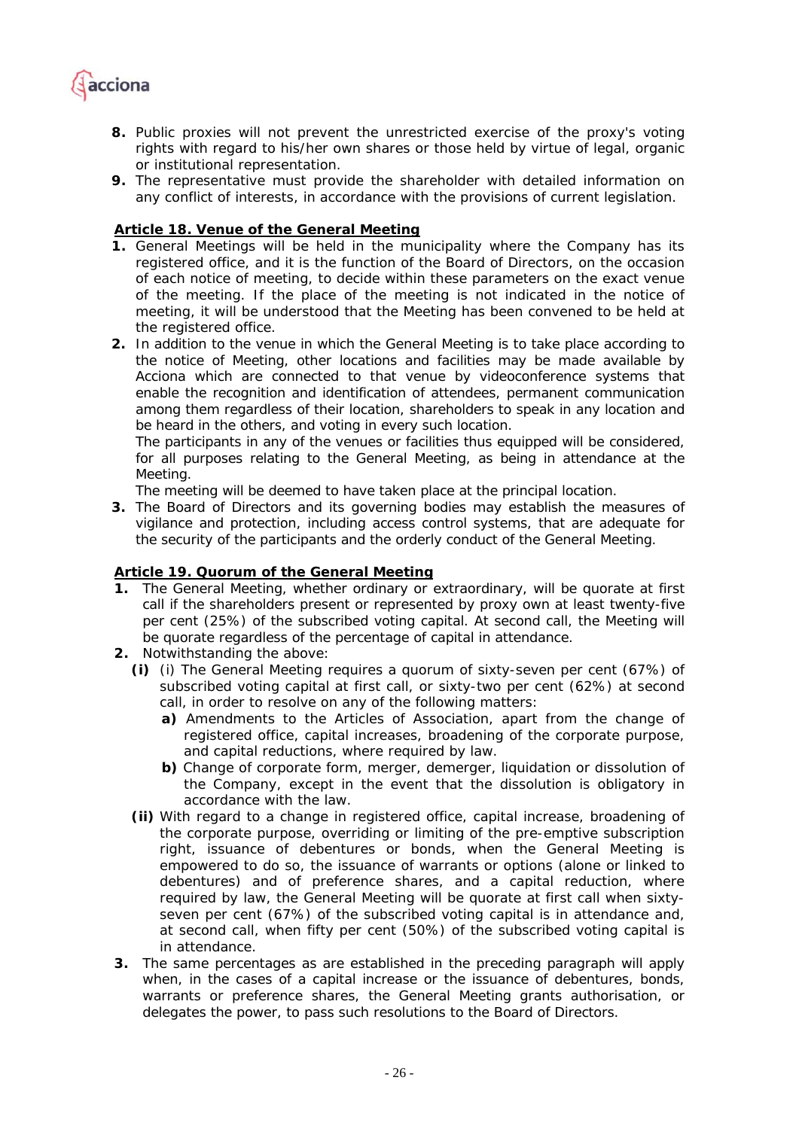

- *8. Public proxies will not prevent the unrestricted exercise of the proxy's voting rights with regard to his/her own shares or those held by virtue of legal, organic or institutional representation.*
- *9. The representative must provide the shareholder with detailed information on any conflict of interests, in accordance with the provisions of current legislation.*

## *Article 18. Venue of the General Meeting*

- *1. General Meetings will be held in the municipality where the Company has its registered office, and it is the function of the Board of Directors, on the occasion of each notice of meeting, to decide within these parameters on the exact venue of the meeting. If the place of the meeting is not indicated in the notice of meeting, it will be understood that the Meeting has been convened to be held at the registered office.*
- *2. In addition to the venue in which the General Meeting is to take place according to the notice of Meeting, other locations and facilities may be made available by Acciona which are connected to that venue by videoconference systems that enable the recognition and identification of attendees, permanent communication among them regardless of their location, shareholders to speak in any location and be heard in the others, and voting in every such location.*

*The participants in any of the venues or facilities thus equipped will be considered,*  for all purposes relating to the General Meeting, as being in attendance at the *Meeting.* 

*The meeting will be deemed to have taken place at the principal location.* 

*3. The Board of Directors and its governing bodies may establish the measures of vigilance and protection, including access control systems, that are adequate for the security of the participants and the orderly conduct of the General Meeting.* 

## *Article 19. Quorum of the General Meeting*

- **1.** *The General Meeting, whether ordinary or extraordinary, will be quorate at first call if the shareholders present or represented by proxy own at least twenty-five per cent (25%) of the subscribed voting capital. At second call, the Meeting will be quorate regardless of the percentage of capital in attendance.*
- **2.** *Notwithstanding the above:* 
	- *(i) (i) The General Meeting requires a quorum of sixty-seven per cent (67%) of subscribed voting capital at first call, or sixty-two per cent (62%) at second call, in order to resolve on any of the following matters:* 
		- *a) Amendments to the Articles of Association, apart from the change of registered office, capital increases, broadening of the corporate purpose, and capital reductions, where required by law.*
		- *b) Change of corporate form, merger, demerger, liquidation or dissolution of the Company, except in the event that the dissolution is obligatory in accordance with the law.*
	- *(ii) With regard to a change in registered office, capital increase, broadening of the corporate purpose, overriding or limiting of the pre-emptive subscription right, issuance of debentures or bonds, when the General Meeting is empowered to do so, the issuance of warrants or options (alone or linked to debentures) and of preference shares, and a capital reduction, where required by law, the General Meeting will be quorate at first call when sixtyseven per cent (67%) of the subscribed voting capital is in attendance and, at second call, when fifty per cent (50%) of the subscribed voting capital is in attendance.*
- **3.** *The same percentages as are established in the preceding paragraph will apply*  when, in the cases of a capital increase or the issuance of debentures, bonds, *warrants or preference shares, the General Meeting grants authorisation, or delegates the power, to pass such resolutions to the Board of Directors.*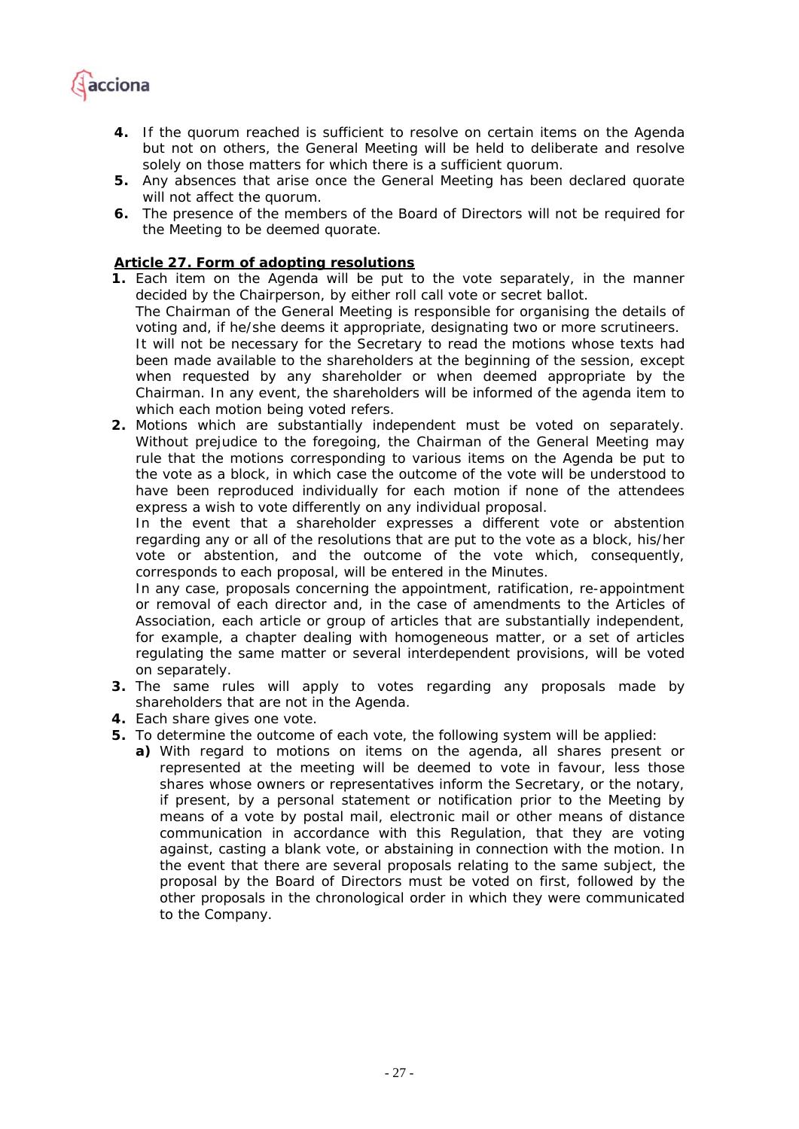

- **4.** *If the quorum reached is sufficient to resolve on certain items on the Agenda but not on others, the General Meeting will be held to deliberate and resolve solely on those matters for which there is a sufficient quorum.*
- **5.** *Any absences that arise once the General Meeting has been declared quorate will not affect the quorum.*
- **6.** *The presence of the members of the Board of Directors will not be required for the Meeting to be deemed quorate.*

# *Article 27. Form of adopting resolutions*

- *1. Each item on the Agenda will be put to the vote separately, in the manner decided by the Chairperson, by either roll call vote or secret ballot. The Chairman of the General Meeting is responsible for organising the details of voting and, if he/she deems it appropriate, designating two or more scrutineers. It will not be necessary for the Secretary to read the motions whose texts had been made available to the shareholders at the beginning of the session, except when requested by any shareholder or when deemed appropriate by the Chairman. In any event, the shareholders will be informed of the agenda item to which each motion being voted refers.*
- *2. Motions which are substantially independent must be voted on separately. Without prejudice to the foregoing, the Chairman of the General Meeting may rule that the motions corresponding to various items on the Agenda be put to the vote as a block, in which case the outcome of the vote will be understood to have been reproduced individually for each motion if none of the attendees express a wish to vote differently on any individual proposal.*

In the event that a shareholder expresses a different vote or abstention *regarding any or all of the resolutions that are put to the vote as a block, his/her vote or abstention, and the outcome of the vote which, consequently, corresponds to each proposal, will be entered in the Minutes.* 

*In any case, proposals concerning the appointment, ratification, re-appointment or removal of each director and, in the case of amendments to the Articles of Association, each article or group of articles that are substantially independent, for example, a chapter dealing with homogeneous matter, or a set of articles regulating the same matter or several interdependent provisions, will be voted on separately.* 

- *3. The same rules will apply to votes regarding any proposals made by shareholders that are not in the Agenda.*
- *4. Each share gives one vote.*
- *5. To determine the outcome of each vote, the following system will be applied:* 
	- *a) With regard to motions on items on the agenda, all shares present or represented at the meeting will be deemed to vote in favour, less those shares whose owners or representatives inform the Secretary, or the notary, if present, by a personal statement or notification prior to the Meeting by means of a vote by postal mail, electronic mail or other means of distance communication in accordance with this Regulation, that they are voting against, casting a blank vote, or abstaining in connection with the motion. In the event that there are several proposals relating to the same subject, the proposal by the Board of Directors must be voted on first, followed by the other proposals in the chronological order in which they were communicated to the Company.*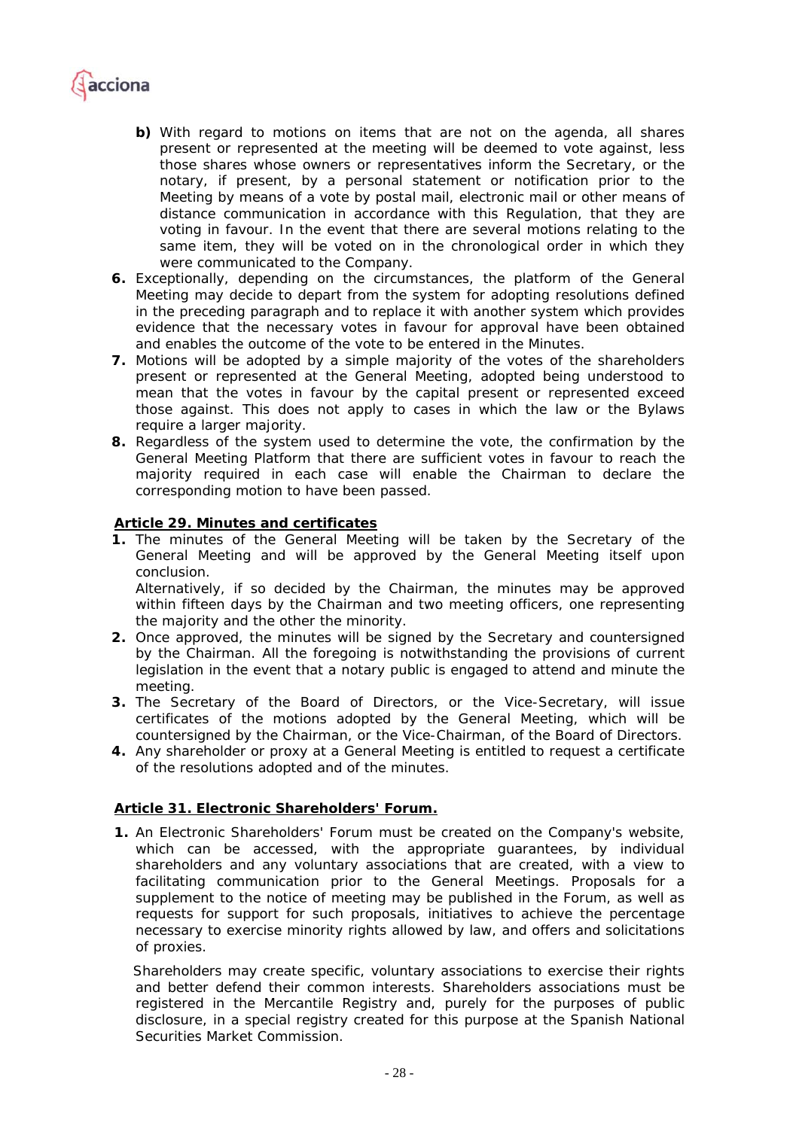

- *b) With regard to motions on items that are not on the agenda, all shares present or represented at the meeting will be deemed to vote against, less those shares whose owners or representatives inform the Secretary, or the notary, if present, by a personal statement or notification prior to the Meeting by means of a vote by postal mail, electronic mail or other means of distance communication in accordance with this Regulation, that they are voting in favour. In the event that there are several motions relating to the same item, they will be voted on in the chronological order in which they were communicated to the Company.*
- *6. Exceptionally, depending on the circumstances, the platform of the General Meeting may decide to depart from the system for adopting resolutions defined in the preceding paragraph and to replace it with another system which provides evidence that the necessary votes in favour for approval have been obtained and enables the outcome of the vote to be entered in the Minutes.*
- *7. Motions will be adopted by a simple majority of the votes of the shareholders present or represented at the General Meeting, adopted being understood to mean that the votes in favour by the capital present or represented exceed those against. This does not apply to cases in which the law or the Bylaws require a larger majority.*
- *8. Regardless of the system used to determine the vote, the confirmation by the General Meeting Platform that there are sufficient votes in favour to reach the majority required in each case will enable the Chairman to declare the corresponding motion to have been passed.*

## *Article 29. Minutes and certificates*

*1. The minutes of the General Meeting will be taken by the Secretary of the General Meeting and will be approved by the General Meeting itself upon conclusion. Alternatively, if so decided by the Chairman, the minutes may be approved* 

*within fifteen days by the Chairman and two meeting officers, one representing the majority and the other the minority.* 

- *2. Once approved, the minutes will be signed by the Secretary and countersigned*  by the Chairman. All the foregoing is notwithstanding the provisions of current *legislation in the event that a notary public is engaged to attend and minute the meeting.*
- *3. The Secretary of the Board of Directors, or the Vice-Secretary, will issue certificates of the motions adopted by the General Meeting, which will be countersigned by the Chairman, or the Vice-Chairman, of the Board of Directors.*
- *4. Any shareholder or proxy at a General Meeting is entitled to request a certificate of the resolutions adopted and of the minutes.*

## *Article 31. Electronic Shareholders' Forum.*

**1.** *An Electronic Shareholders' Forum must be created on the Company's website, which can be accessed, with the appropriate guarantees, by individual shareholders and any voluntary associations that are created, with a view to facilitating communication prior to the General Meetings. Proposals for a supplement to the notice of meeting may be published in the Forum, as well as requests for support for such proposals, initiatives to achieve the percentage necessary to exercise minority rights allowed by law, and offers and solicitations of proxies.* 

*Shareholders may create specific, voluntary associations to exercise their rights and better defend their common interests. Shareholders associations must be registered in the Mercantile Registry and, purely for the purposes of public disclosure, in a special registry created for this purpose at the Spanish National Securities Market Commission.*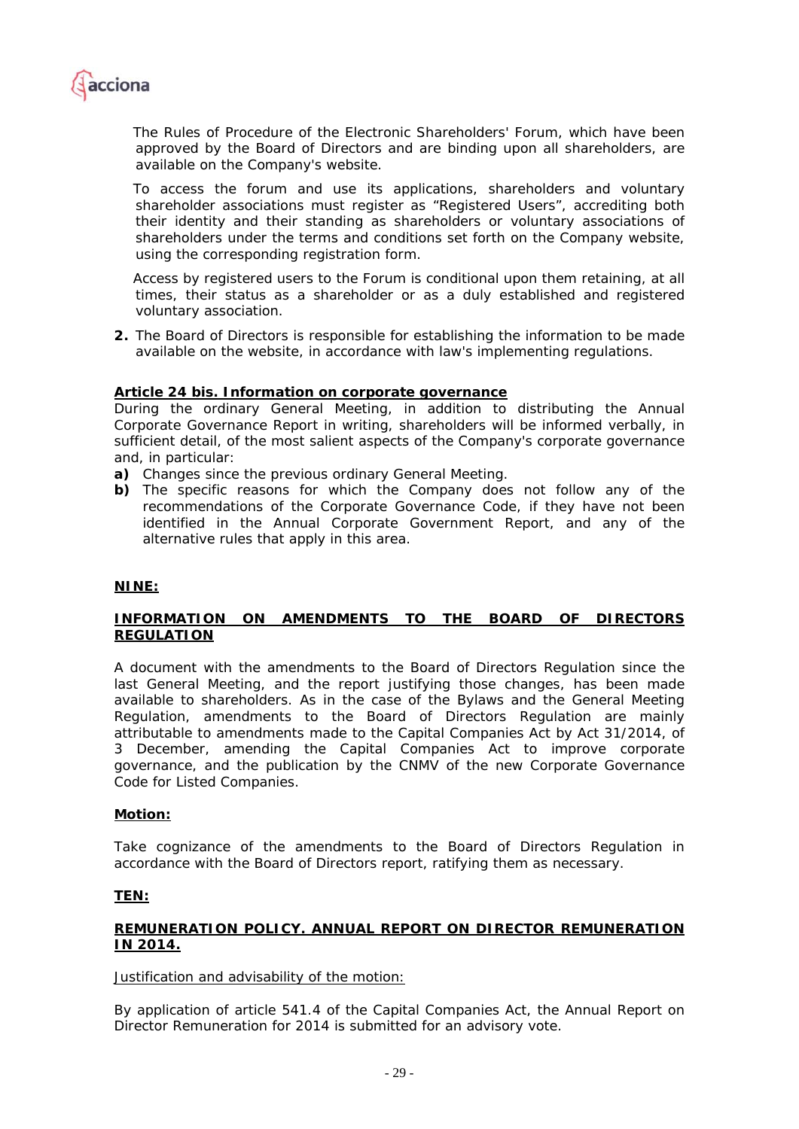

*The Rules of Procedure of the Electronic Shareholders' Forum, which have been approved by the Board of Directors and are binding upon all shareholders, are available on the Company's website.* 

*To access the forum and use its applications, shareholders and voluntary shareholder associations must register as "Registered Users", accrediting both their identity and their standing as shareholders or voluntary associations of shareholders under the terms and conditions set forth on the Company website, using the corresponding registration form.* 

*Access by registered users to the Forum is conditional upon them retaining, at all times, their status as a shareholder or as a duly established and registered voluntary association.* 

**2.** *The Board of Directors is responsible for establishing the information to be made available on the website, in accordance with law's implementing regulations.* 

## *Article 24 bis. Information on corporate governance*

*During the ordinary General Meeting, in addition to distributing the Annual Corporate Governance Report in writing, shareholders will be informed verbally, in sufficient detail, of the most salient aspects of the Company's corporate governance and, in particular:* 

- *a) Changes since the previous ordinary General Meeting.*
- *b) The specific reasons for which the Company does not follow any of the recommendations of the Corporate Governance Code, if they have not been identified in the Annual Corporate Government Report, and any of the alternative rules that apply in this area.*

#### **NINE:**

## **INFORMATION ON AMENDMENTS TO THE BOARD OF DIRECTORS REGULATION**

A document with the amendments to the Board of Directors Regulation since the last General Meeting, and the report justifying those changes, has been made available to shareholders. As in the case of the Bylaws and the General Meeting Regulation, amendments to the Board of Directors Regulation are mainly attributable to amendments made to the Capital Companies Act by Act 31/2014, of 3 December, amending the Capital Companies Act to improve corporate governance, and the publication by the CNMV of the new Corporate Governance Code for Listed Companies.

#### **Motion:**

Take cognizance of the amendments to the Board of Directors Regulation in accordance with the Board of Directors report, ratifying them as necessary.

### **TEN:**

## **REMUNERATION POLICY. ANNUAL REPORT ON DIRECTOR REMUNERATION IN 2014.**

Justification and advisability of the motion:

By application of article 541.4 of the Capital Companies Act, the Annual Report on Director Remuneration for 2014 is submitted for an advisory vote.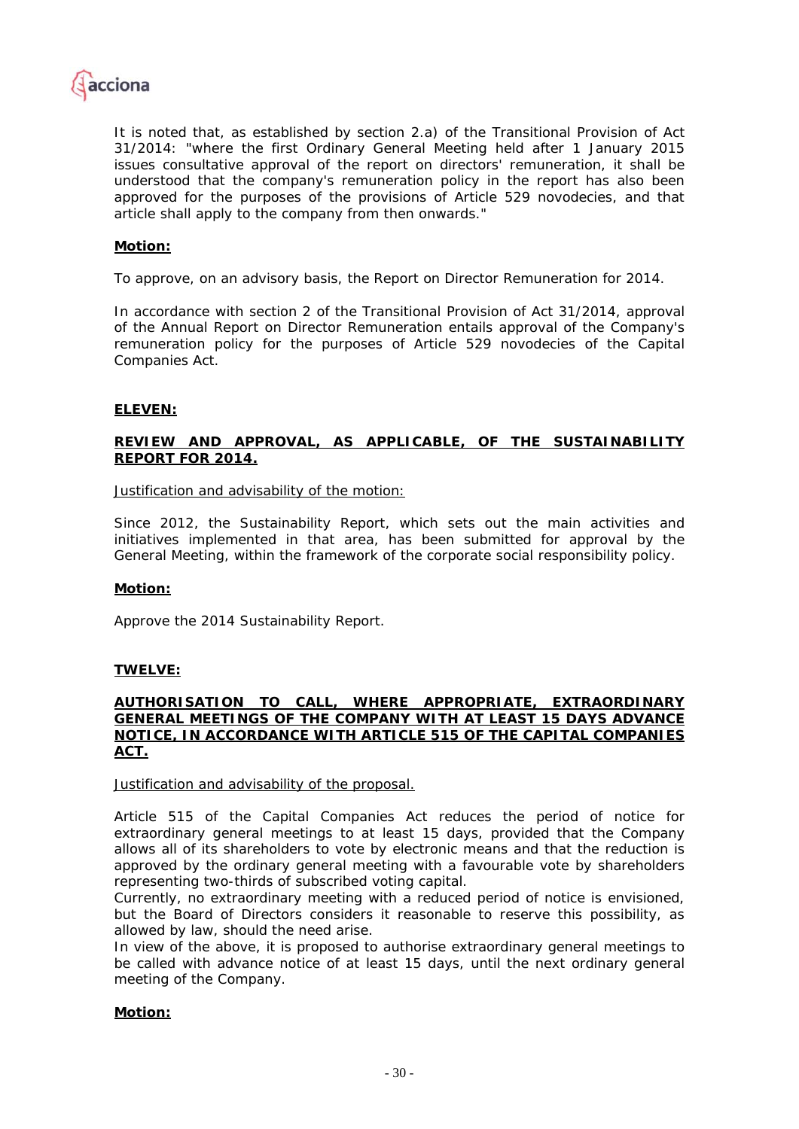

It is noted that, as established by section 2.a) of the Transitional Provision of Act 31/2014: "where the first Ordinary General Meeting held after 1 January 2015 issues consultative approval of the report on directors' remuneration, it shall be understood that the company's remuneration policy in the report has also been approved for the purposes of the provisions of Article 529 *novodecies*, and that article shall apply to the company from then onwards."

## **Motion:**

To approve, on an advisory basis, the Report on Director Remuneration for 2014.

In accordance with section 2 of the Transitional Provision of Act 31/2014, approval of the Annual Report on Director Remuneration entails approval of the Company's remuneration policy for the purposes of Article 529 *novodecies* of the Capital Companies Act.

## **ELEVEN:**

## **REVIEW AND APPROVAL, AS APPLICABLE, OF THE SUSTAINABILITY REPORT FOR 2014.**

Justification and advisability of the motion:

Since 2012, the Sustainability Report, which sets out the main activities and initiatives implemented in that area, has been submitted for approval by the General Meeting, within the framework of the corporate social responsibility policy.

## **Motion:**

Approve the 2014 Sustainability Report.

## **TWELVE:**

### **AUTHORISATION TO CALL, WHERE APPROPRIATE, EXTRAORDINARY GENERAL MEETINGS OF THE COMPANY WITH AT LEAST 15 DAYS ADVANCE NOTICE, IN ACCORDANCE WITH ARTICLE 515 OF THE CAPITAL COMPANIES ACT.**

#### Justification and advisability of the proposal.

Article 515 of the Capital Companies Act reduces the period of notice for extraordinary general meetings to at least 15 days, provided that the Company allows all of its shareholders to vote by electronic means and that the reduction is approved by the ordinary general meeting with a favourable vote by shareholders representing two-thirds of subscribed voting capital.

Currently, no extraordinary meeting with a reduced period of notice is envisioned, but the Board of Directors considers it reasonable to reserve this possibility, as allowed by law, should the need arise.

In view of the above, it is proposed to authorise extraordinary general meetings to be called with advance notice of at least 15 days, until the next ordinary general meeting of the Company.

#### **Motion:**